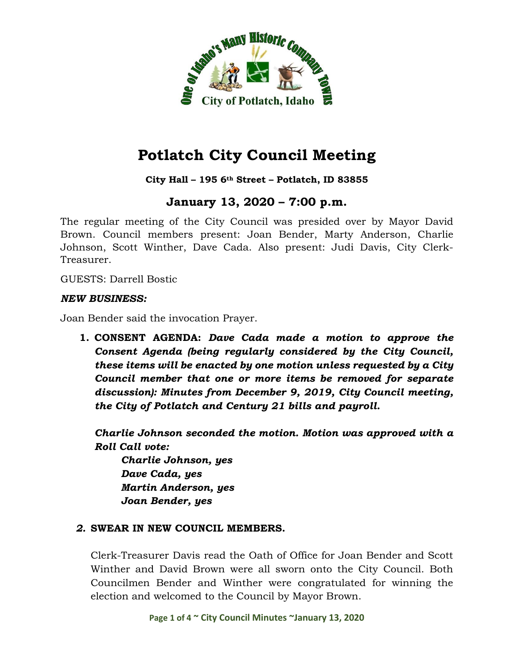

### **City Hall – 195 6th Street – Potlatch, ID 83855**

# **January 13, 2020 – 7:00 p.m.**

The regular meeting of the City Council was presided over by Mayor David Brown. Council members present: Joan Bender, Marty Anderson, Charlie Johnson, Scott Winther, Dave Cada. Also present: Judi Davis, City Clerk-Treasurer.

GUESTS: Darrell Bostic

#### *NEW BUSINESS:*

Joan Bender said the invocation Prayer.

**1. CONSENT AGENDA:** *Dave Cada made a motion to approve the Consent Agenda (being regularly considered by the City Council, these items will be enacted by one motion unless requested by a City Council member that one or more items be removed for separate discussion): Minutes from December 9, 2019, City Council meeting, the City of Potlatch and Century 21 bills and payroll.*

*Charlie Johnson seconded the motion. Motion was approved with a Roll Call vote:*

*Charlie Johnson, yes Dave Cada, yes Martin Anderson, yes Joan Bender, yes*

### *2.* **SWEAR IN NEW COUNCIL MEMBERS.**

Clerk-Treasurer Davis read the Oath of Office for Joan Bender and Scott Winther and David Brown were all sworn onto the City Council. Both Councilmen Bender and Winther were congratulated for winning the election and welcomed to the Council by Mayor Brown.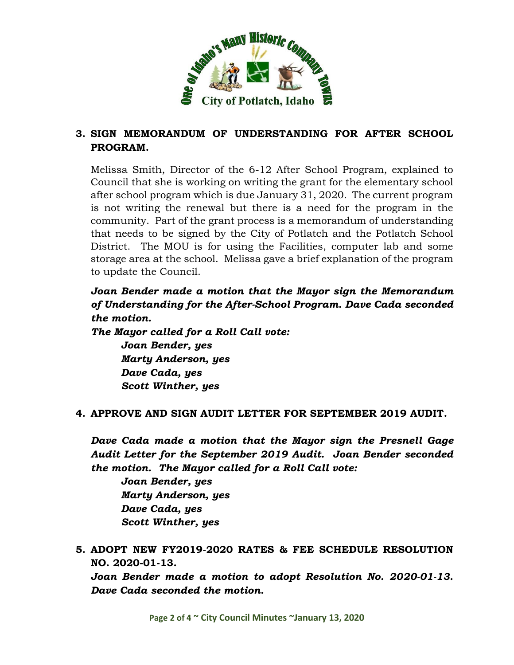

# **3. SIGN MEMORANDUM OF UNDERSTANDING FOR AFTER SCHOOL PROGRAM.**

Melissa Smith, Director of the 6-12 After School Program, explained to Council that she is working on writing the grant for the elementary school after school program which is due January 31, 2020. The current program is not writing the renewal but there is a need for the program in the community. Part of the grant process is a memorandum of understanding that needs to be signed by the City of Potlatch and the Potlatch School District. The MOU is for using the Facilities, computer lab and some storage area at the school. Melissa gave a brief explanation of the program to update the Council.

*Joan Bender made a motion that the Mayor sign the Memorandum of Understanding for the After-School Program. Dave Cada seconded the motion.* 

*The Mayor called for a Roll Call vote:*

*Joan Bender, yes Marty Anderson, yes Dave Cada, yes Scott Winther, yes*

### **4. APPROVE AND SIGN AUDIT LETTER FOR SEPTEMBER 2019 AUDIT.**

*Dave Cada made a motion that the Mayor sign the Presnell Gage Audit Letter for the September 2019 Audit. Joan Bender seconded the motion. The Mayor called for a Roll Call vote:*

*Joan Bender, yes Marty Anderson, yes Dave Cada, yes Scott Winther, yes*

**5. ADOPT NEW FY2019-2020 RATES & FEE SCHEDULE RESOLUTION NO. 2020-01-13.**

*Joan Bender made a motion to adopt Resolution No. 2020-01-13. Dave Cada seconded the motion.*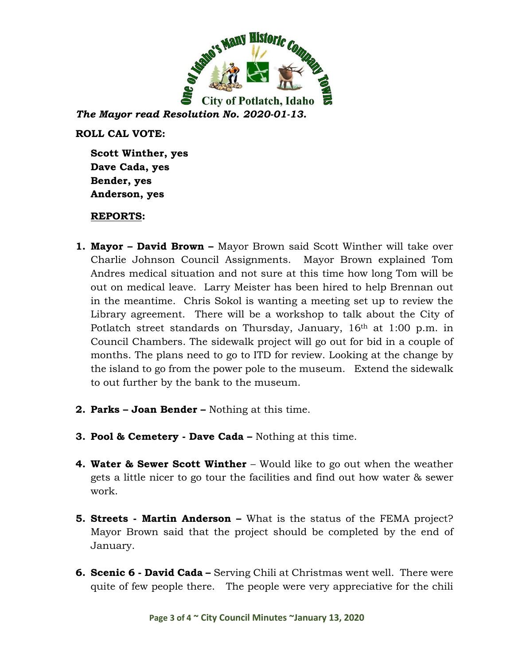

*The Mayor read Resolution No. 2020-01-13.* 

**ROLL CAL VOTE:**

**Scott Winther, yes Dave Cada, yes Bender, yes Anderson, yes**

### **REPORTS:**

- **1. Mayor – David Brown –** Mayor Brown said Scott Winther will take over Charlie Johnson Council Assignments. Mayor Brown explained Tom Andres medical situation and not sure at this time how long Tom will be out on medical leave. Larry Meister has been hired to help Brennan out in the meantime. Chris Sokol is wanting a meeting set up to review the Library agreement. There will be a workshop to talk about the City of Potlatch street standards on Thursday, January, 16<sup>th</sup> at 1:00 p.m. in Council Chambers. The sidewalk project will go out for bid in a couple of months. The plans need to go to ITD for review. Looking at the change by the island to go from the power pole to the museum. Extend the sidewalk to out further by the bank to the museum.
- **2. Parks – Joan Bender –** Nothing at this time.
- **3. Pool & Cemetery - Dave Cada –** Nothing at this time.
- **4. Water & Sewer Scott Winther** Would like to go out when the weather gets a little nicer to go tour the facilities and find out how water & sewer work.
- **5. Streets - Martin Anderson –** What is the status of the FEMA project? Mayor Brown said that the project should be completed by the end of January.
- **6. Scenic 6 - David Cada –** Serving Chili at Christmas went well. There were quite of few people there. The people were very appreciative for the chili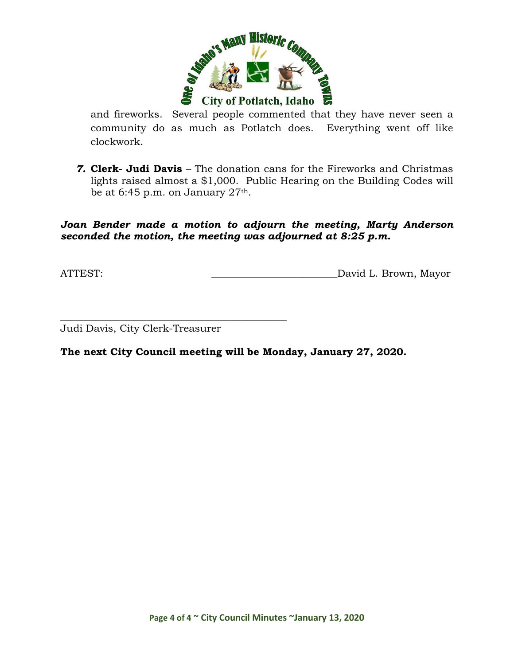

and fireworks. Several people commented that they have never seen a community do as much as Potlatch does. Everything went off like clockwork.

*7.* **Clerk- Judi Davis** – The donation cans for the Fireworks and Christmas lights raised almost a \$1,000. Public Hearing on the Building Codes will be at 6:45 p.m. on January 27th.

*Joan Bender made a motion to adjourn the meeting, Marty Anderson seconded the motion, the meeting was adjourned at 8:25 p.m.*

ATTEST: ATTEST: AND AND ALL DAVID L. Brown, Mayor

Judi Davis, City Clerk-Treasurer

\_\_\_\_\_\_\_\_\_\_\_\_\_\_\_\_\_\_\_\_\_\_\_\_\_\_\_\_\_\_\_\_\_\_\_\_\_\_\_\_\_\_\_\_\_

**The next City Council meeting will be Monday, January 27, 2020.**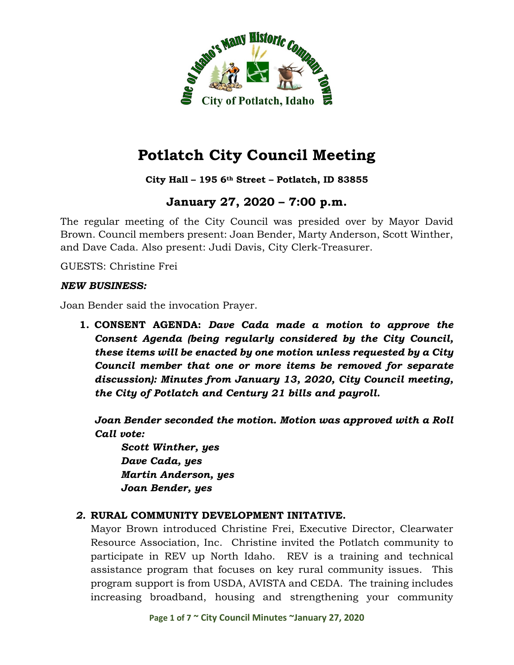

**City Hall – 195 6th Street – Potlatch, ID 83855**

# **January 27, 2020 – 7:00 p.m.**

The regular meeting of the City Council was presided over by Mayor David Brown. Council members present: Joan Bender, Marty Anderson, Scott Winther, and Dave Cada. Also present: Judi Davis, City Clerk-Treasurer.

GUESTS: Christine Frei

#### *NEW BUSINESS:*

Joan Bender said the invocation Prayer.

**1. CONSENT AGENDA:** *Dave Cada made a motion to approve the Consent Agenda (being regularly considered by the City Council, these items will be enacted by one motion unless requested by a City Council member that one or more items be removed for separate discussion): Minutes from January 13, 2020, City Council meeting, the City of Potlatch and Century 21 bills and payroll.*

*Joan Bender seconded the motion. Motion was approved with a Roll Call vote:*

*Scott Winther, yes Dave Cada, yes Martin Anderson, yes Joan Bender, yes*

### *2.* **RURAL COMMUNITY DEVELOPMENT INITATIVE.**

Mayor Brown introduced Christine Frei, Executive Director, Clearwater Resource Association, Inc. Christine invited the Potlatch community to participate in REV up North Idaho. REV is a training and technical assistance program that focuses on key rural community issues. This program support is from USDA, AVISTA and CEDA. The training includes increasing broadband, housing and strengthening your community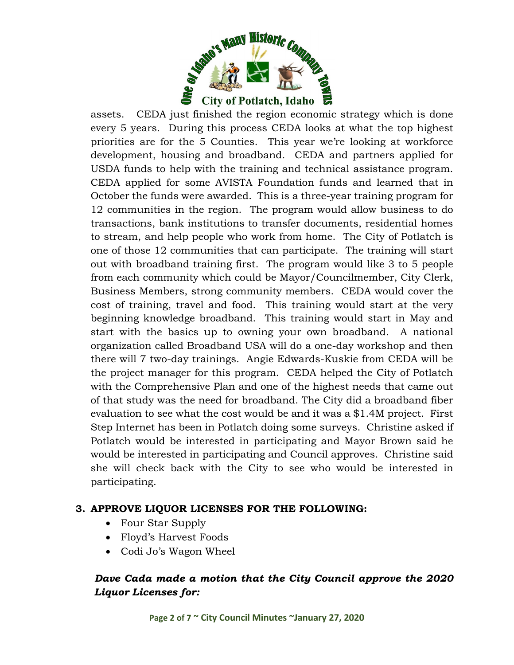

assets. CEDA just finished the region economic strategy which is done every 5 years. During this process CEDA looks at what the top highest priorities are for the 5 Counties. This year we're looking at workforce development, housing and broadband. CEDA and partners applied for USDA funds to help with the training and technical assistance program. CEDA applied for some AVISTA Foundation funds and learned that in October the funds were awarded. This is a three-year training program for 12 communities in the region. The program would allow business to do transactions, bank institutions to transfer documents, residential homes to stream, and help people who work from home. The City of Potlatch is one of those 12 communities that can participate. The training will start out with broadband training first. The program would like 3 to 5 people from each community which could be Mayor/Councilmember, City Clerk, Business Members, strong community members. CEDA would cover the cost of training, travel and food. This training would start at the very beginning knowledge broadband. This training would start in May and start with the basics up to owning your own broadband. A national organization called Broadband USA will do a one-day workshop and then there will 7 two-day trainings. Angie Edwards-Kuskie from CEDA will be the project manager for this program. CEDA helped the City of Potlatch with the Comprehensive Plan and one of the highest needs that came out of that study was the need for broadband. The City did a broadband fiber evaluation to see what the cost would be and it was a \$1.4M project. First Step Internet has been in Potlatch doing some surveys. Christine asked if Potlatch would be interested in participating and Mayor Brown said he would be interested in participating and Council approves. Christine said she will check back with the City to see who would be interested in participating.

### **3. APPROVE LIQUOR LICENSES FOR THE FOLLOWING:**

- Four Star Supply
- Floyd's Harvest Foods
- Codi Jo's Wagon Wheel

# *Dave Cada made a motion that the City Council approve the 2020 Liquor Licenses for:*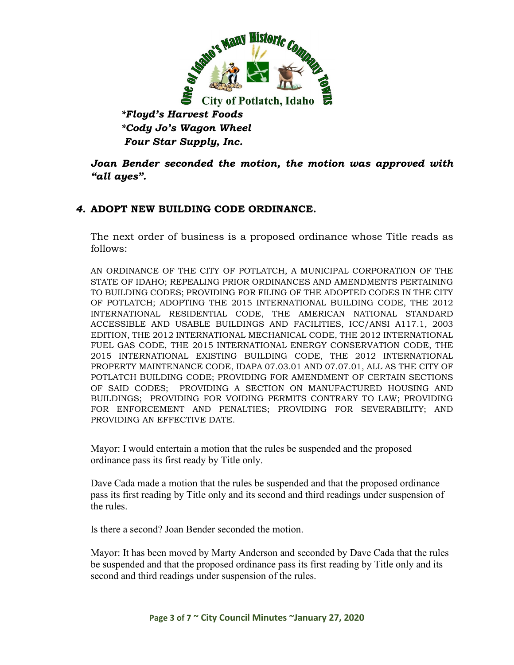

*\*Floyd's Harvest Foods \*Cody Jo's Wagon Wheel Four Star Supply, Inc.*

*Joan Bender seconded the motion, the motion was approved with "all ayes".*

### *4.* **ADOPT NEW BUILDING CODE ORDINANCE.**

The next order of business is a proposed ordinance whose Title reads as follows:

AN ORDINANCE OF THE CITY OF POTLATCH, A MUNICIPAL CORPORATION OF THE STATE OF IDAHO; REPEALING PRIOR ORDINANCES AND AMENDMENTS PERTAINING TO BUILDING CODES; PROVIDING FOR FILING OF THE ADOPTED CODES IN THE CITY OF POTLATCH; ADOPTING THE 2015 INTERNATIONAL BUILDING CODE, THE 2012 INTERNATIONAL RESIDENTIAL CODE, THE AMERICAN NATIONAL STANDARD ACCESSIBLE AND USABLE BUILDINGS AND FACILITIES, ICC/ANSI A117.1, 2003 EDITION, THE 2012 INTERNATIONAL MECHANICAL CODE, THE 2012 INTERNATIONAL FUEL GAS CODE, THE 2015 INTERNATIONAL ENERGY CONSERVATION CODE, THE 2015 INTERNATIONAL EXISTING BUILDING CODE, THE 2012 INTERNATIONAL PROPERTY MAINTENANCE CODE, IDAPA 07.03.01 AND 07.07.01, ALL AS THE CITY OF POTLATCH BUILDING CODE; PROVIDING FOR AMENDMENT OF CERTAIN SECTIONS OF SAID CODES; PROVIDING A SECTION ON MANUFACTURED HOUSING AND BUILDINGS; PROVIDING FOR VOIDING PERMITS CONTRARY TO LAW; PROVIDING FOR ENFORCEMENT AND PENALTIES; PROVIDING FOR SEVERABILITY; AND PROVIDING AN EFFECTIVE DATE.

Mayor: I would entertain a motion that the rules be suspended and the proposed ordinance pass its first ready by Title only.

Dave Cada made a motion that the rules be suspended and that the proposed ordinance pass its first reading by Title only and its second and third readings under suspension of the rules.

Is there a second? Joan Bender seconded the motion.

Mayor: It has been moved by Marty Anderson and seconded by Dave Cada that the rules be suspended and that the proposed ordinance pass its first reading by Title only and its second and third readings under suspension of the rules.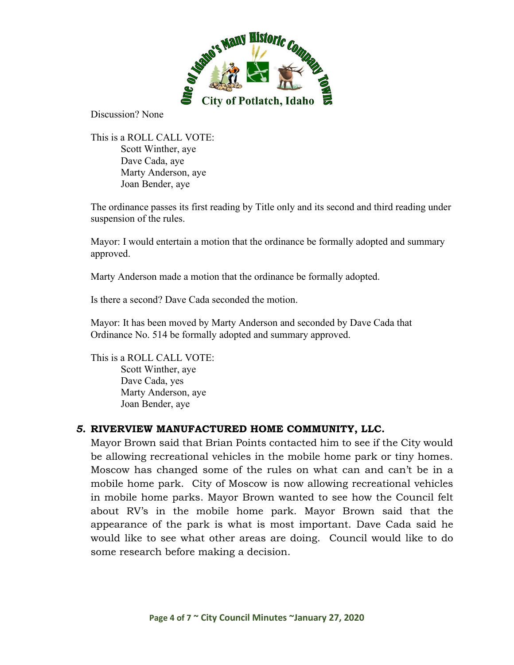

Discussion? None

This is a ROLL CALL VOTE: Scott Winther, aye Dave Cada, aye Marty Anderson, aye Joan Bender, aye

The ordinance passes its first reading by Title only and its second and third reading under suspension of the rules.

Mayor: I would entertain a motion that the ordinance be formally adopted and summary approved.

Marty Anderson made a motion that the ordinance be formally adopted.

Is there a second? Dave Cada seconded the motion.

Mayor: It has been moved by Marty Anderson and seconded by Dave Cada that Ordinance No. 514 be formally adopted and summary approved.

This is a ROLL CALL VOTE: Scott Winther, aye Dave Cada, yes Marty Anderson, aye Joan Bender, aye

### *5.* **RIVERVIEW MANUFACTURED HOME COMMUNITY, LLC.**

Mayor Brown said that Brian Points contacted him to see if the City would be allowing recreational vehicles in the mobile home park or tiny homes. Moscow has changed some of the rules on what can and can't be in a mobile home park. City of Moscow is now allowing recreational vehicles in mobile home parks. Mayor Brown wanted to see how the Council felt about RV's in the mobile home park. Mayor Brown said that the appearance of the park is what is most important. Dave Cada said he would like to see what other areas are doing. Council would like to do some research before making a decision.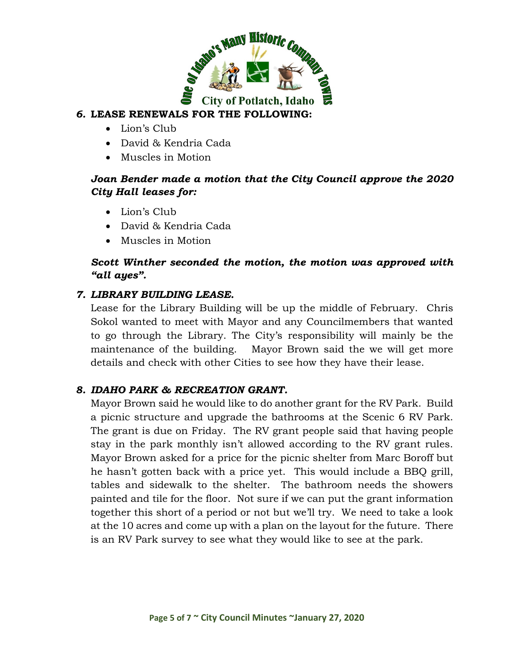

## *6.* **LEASE RENEWALS FOR THE FOLLOWING:**

- Lion's Club
- David & Kendria Cada
- Muscles in Motion

## *Joan Bender made a motion that the City Council approve the 2020 City Hall leases for:*

- Lion's Club
- David & Kendria Cada
- Muscles in Motion

## *Scott Winther seconded the motion, the motion was approved with "all ayes".*

## *7. LIBRARY BUILDING LEASE.*

Lease for the Library Building will be up the middle of February. Chris Sokol wanted to meet with Mayor and any Councilmembers that wanted to go through the Library. The City's responsibility will mainly be the maintenance of the building. Mayor Brown said the we will get more details and check with other Cities to see how they have their lease.

## *8. IDAHO PARK & RECREATION GRANT.*

Mayor Brown said he would like to do another grant for the RV Park. Build a picnic structure and upgrade the bathrooms at the Scenic 6 RV Park. The grant is due on Friday. The RV grant people said that having people stay in the park monthly isn't allowed according to the RV grant rules. Mayor Brown asked for a price for the picnic shelter from Marc Boroff but he hasn't gotten back with a price yet. This would include a BBQ grill, tables and sidewalk to the shelter. The bathroom needs the showers painted and tile for the floor. Not sure if we can put the grant information together this short of a period or not but we'll try. We need to take a look at the 10 acres and come up with a plan on the layout for the future. There is an RV Park survey to see what they would like to see at the park.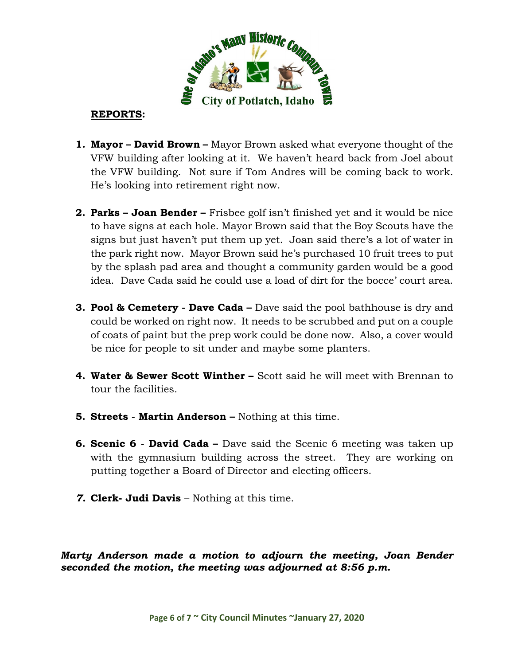

### **REPORTS:**

- **1. Mayor – David Brown –** Mayor Brown asked what everyone thought of the VFW building after looking at it. We haven't heard back from Joel about the VFW building. Not sure if Tom Andres will be coming back to work. He's looking into retirement right now.
- **2. Parks – Joan Bender –** Frisbee golf isn't finished yet and it would be nice to have signs at each hole. Mayor Brown said that the Boy Scouts have the signs but just haven't put them up yet. Joan said there's a lot of water in the park right now. Mayor Brown said he's purchased 10 fruit trees to put by the splash pad area and thought a community garden would be a good idea. Dave Cada said he could use a load of dirt for the bocce' court area.
- **3. Pool & Cemetery - Dave Cada –** Dave said the pool bathhouse is dry and could be worked on right now. It needs to be scrubbed and put on a couple of coats of paint but the prep work could be done now. Also, a cover would be nice for people to sit under and maybe some planters.
- **4. Water & Sewer Scott Winther –** Scott said he will meet with Brennan to tour the facilities.
- **5. Streets - Martin Anderson –** Nothing at this time.
- **6. Scenic 6 - David Cada –** Dave said the Scenic 6 meeting was taken up with the gymnasium building across the street. They are working on putting together a Board of Director and electing officers.
- *7.* **Clerk- Judi Davis** Nothing at this time.

*Marty Anderson made a motion to adjourn the meeting, Joan Bender seconded the motion, the meeting was adjourned at 8:56 p.m.*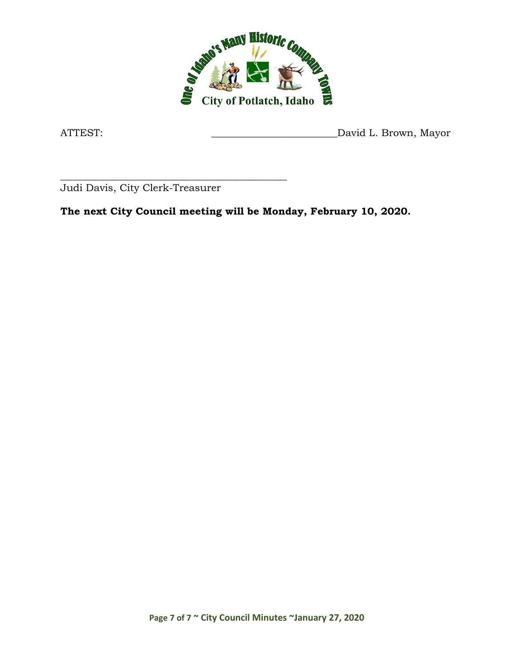

ATTEST: ATTEST: David L. Brown, Mayor

\_\_\_\_\_\_\_\_\_\_\_\_\_\_\_\_\_\_\_\_\_\_\_\_\_\_\_\_\_\_\_\_\_\_\_\_\_\_\_\_\_\_\_\_\_ Judi Davis, City Clerk-Treasurer

**The next City Council meeting will be Monday, February 10, 2020.**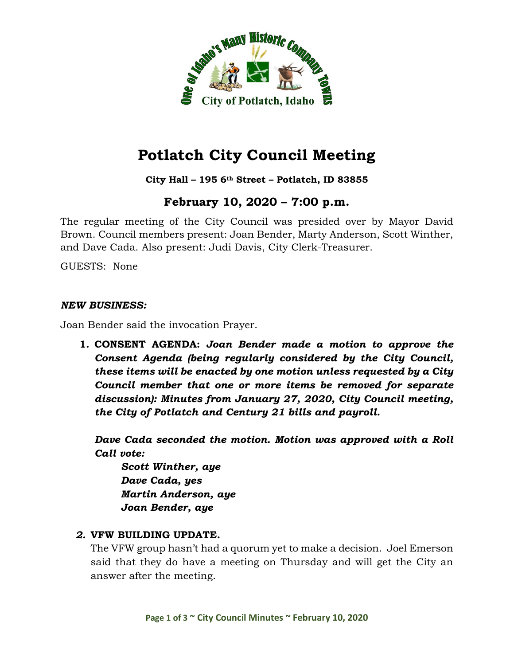

### **City Hall – 195 6th Street – Potlatch, ID 83855**

# **February 10, 2020 – 7:00 p.m.**

The regular meeting of the City Council was presided over by Mayor David Brown. Council members present: Joan Bender, Marty Anderson, Scott Winther, and Dave Cada. Also present: Judi Davis, City Clerk-Treasurer.

GUESTS: None

#### *NEW BUSINESS:*

Joan Bender said the invocation Prayer.

**1. CONSENT AGENDA:** *Joan Bender made a motion to approve the Consent Agenda (being regularly considered by the City Council, these items will be enacted by one motion unless requested by a City Council member that one or more items be removed for separate discussion): Minutes from January 27, 2020, City Council meeting, the City of Potlatch and Century 21 bills and payroll.*

*Dave Cada seconded the motion. Motion was approved with a Roll Call vote:*

*Scott Winther, aye Dave Cada, yes Martin Anderson, aye Joan Bender, aye*

#### *2.* **VFW BUILDING UPDATE.**

The VFW group hasn't had a quorum yet to make a decision. Joel Emerson said that they do have a meeting on Thursday and will get the City an answer after the meeting.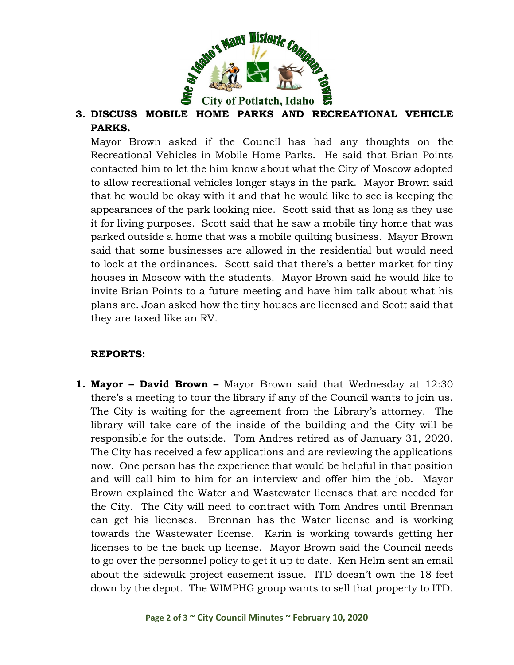

# **3. DISCUSS MOBILE HOME PARKS AND RECREATIONAL VEHICLE PARKS.**

Mayor Brown asked if the Council has had any thoughts on the Recreational Vehicles in Mobile Home Parks. He said that Brian Points contacted him to let the him know about what the City of Moscow adopted to allow recreational vehicles longer stays in the park. Mayor Brown said that he would be okay with it and that he would like to see is keeping the appearances of the park looking nice. Scott said that as long as they use it for living purposes. Scott said that he saw a mobile tiny home that was parked outside a home that was a mobile quilting business. Mayor Brown said that some businesses are allowed in the residential but would need to look at the ordinances. Scott said that there's a better market for tiny houses in Moscow with the students. Mayor Brown said he would like to invite Brian Points to a future meeting and have him talk about what his plans are. Joan asked how the tiny houses are licensed and Scott said that they are taxed like an RV.

## **REPORTS:**

**1. Mayor – David Brown –** Mayor Brown said that Wednesday at 12:30 there's a meeting to tour the library if any of the Council wants to join us. The City is waiting for the agreement from the Library's attorney. The library will take care of the inside of the building and the City will be responsible for the outside. Tom Andres retired as of January 31, 2020. The City has received a few applications and are reviewing the applications now. One person has the experience that would be helpful in that position and will call him to him for an interview and offer him the job. Mayor Brown explained the Water and Wastewater licenses that are needed for the City. The City will need to contract with Tom Andres until Brennan can get his licenses. Brennan has the Water license and is working towards the Wastewater license. Karin is working towards getting her licenses to be the back up license. Mayor Brown said the Council needs to go over the personnel policy to get it up to date. Ken Helm sent an email about the sidewalk project easement issue. ITD doesn't own the 18 feet down by the depot. The WIMPHG group wants to sell that property to ITD.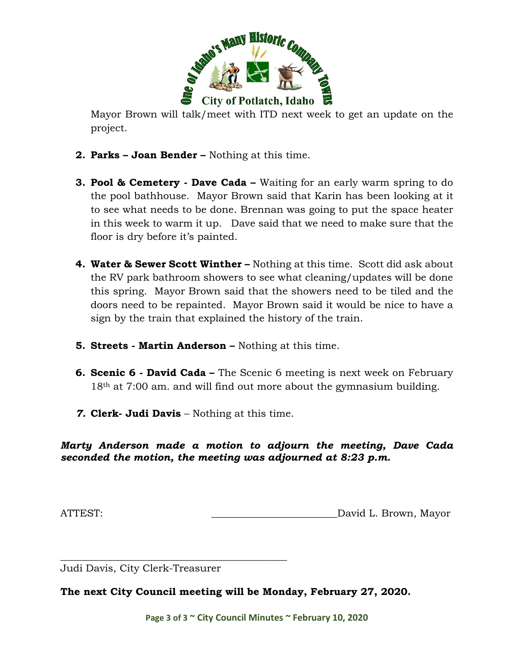

Mayor Brown will talk/meet with ITD next week to get an update on the project.

- **2. Parks – Joan Bender –** Nothing at this time.
- **3. Pool & Cemetery - Dave Cada –** Waiting for an early warm spring to do the pool bathhouse. Mayor Brown said that Karin has been looking at it to see what needs to be done. Brennan was going to put the space heater in this week to warm it up. Dave said that we need to make sure that the floor is dry before it's painted.
- **4. Water & Sewer Scott Winther –** Nothing at this time. Scott did ask about the RV park bathroom showers to see what cleaning/updates will be done this spring. Mayor Brown said that the showers need to be tiled and the doors need to be repainted. Mayor Brown said it would be nice to have a sign by the train that explained the history of the train.
- **5. Streets - Martin Anderson –** Nothing at this time.
- **6. Scenic 6 - David Cada –** The Scenic 6 meeting is next week on February 18<sup>th</sup> at 7:00 am. and will find out more about the gymnasium building.
- *7.* **Clerk- Judi Davis** Nothing at this time.

*Marty Anderson made a motion to adjourn the meeting, Dave Cada seconded the motion, the meeting was adjourned at 8:23 p.m.*

ATTEST:  $\qquad \qquad$  David L. Brown, Mayor

Judi Davis, City Clerk-Treasurer

\_\_\_\_\_\_\_\_\_\_\_\_\_\_\_\_\_\_\_\_\_\_\_\_\_\_\_\_\_\_\_\_\_\_\_\_\_\_\_\_\_\_\_\_\_

**The next City Council meeting will be Monday, February 27, 2020.**

**Page 3 of 3 ~ City Council Minutes ~ February 10, 2020**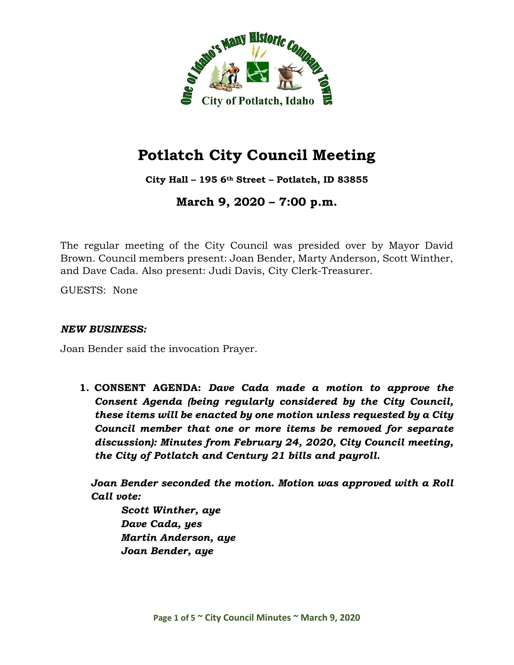

**City Hall – 195 6th Street – Potlatch, ID 83855**

**March 9, 2020 – 7:00 p.m.**

The regular meeting of the City Council was presided over by Mayor David Brown. Council members present: Joan Bender, Marty Anderson, Scott Winther, and Dave Cada. Also present: Judi Davis, City Clerk-Treasurer.

GUESTS: None

#### *NEW BUSINESS:*

Joan Bender said the invocation Prayer.

**1. CONSENT AGENDA:** *Dave Cada made a motion to approve the Consent Agenda (being regularly considered by the City Council, these items will be enacted by one motion unless requested by a City Council member that one or more items be removed for separate discussion): Minutes from February 24, 2020, City Council meeting, the City of Potlatch and Century 21 bills and payroll.*

*Joan Bender seconded the motion. Motion was approved with a Roll Call vote:*

*Scott Winther, aye Dave Cada, yes Martin Anderson, aye Joan Bender, aye*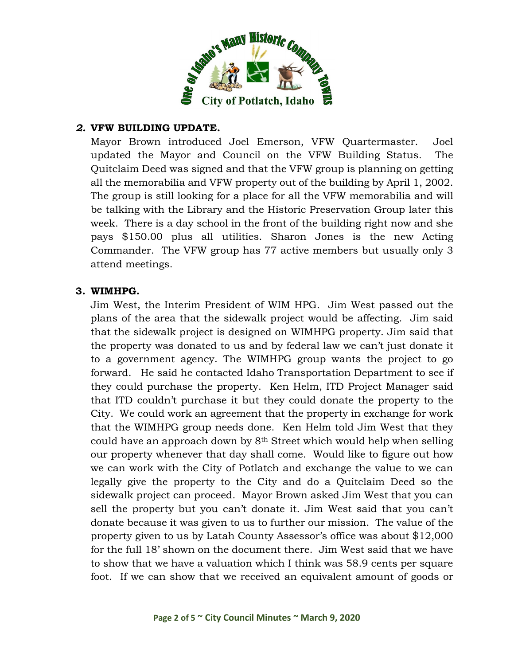

### *2.* **VFW BUILDING UPDATE.**

Mayor Brown introduced Joel Emerson, VFW Quartermaster. Joel updated the Mayor and Council on the VFW Building Status. The Quitclaim Deed was signed and that the VFW group is planning on getting all the memorabilia and VFW property out of the building by April 1, 2002. The group is still looking for a place for all the VFW memorabilia and will be talking with the Library and the Historic Preservation Group later this week. There is a day school in the front of the building right now and she pays \$150.00 plus all utilities. Sharon Jones is the new Acting Commander. The VFW group has 77 active members but usually only 3 attend meetings.

#### **3. WIMHPG.**

Jim West, the Interim President of WIM HPG. Jim West passed out the plans of the area that the sidewalk project would be affecting. Jim said that the sidewalk project is designed on WIMHPG property. Jim said that the property was donated to us and by federal law we can't just donate it to a government agency. The WIMHPG group wants the project to go forward. He said he contacted Idaho Transportation Department to see if they could purchase the property. Ken Helm, ITD Project Manager said that ITD couldn't purchase it but they could donate the property to the City. We could work an agreement that the property in exchange for work that the WIMHPG group needs done. Ken Helm told Jim West that they could have an approach down by 8th Street which would help when selling our property whenever that day shall come. Would like to figure out how we can work with the City of Potlatch and exchange the value to we can legally give the property to the City and do a Quitclaim Deed so the sidewalk project can proceed. Mayor Brown asked Jim West that you can sell the property but you can't donate it. Jim West said that you can't donate because it was given to us to further our mission. The value of the property given to us by Latah County Assessor's office was about \$12,000 for the full 18' shown on the document there. Jim West said that we have to show that we have a valuation which I think was 58.9 cents per square foot. If we can show that we received an equivalent amount of goods or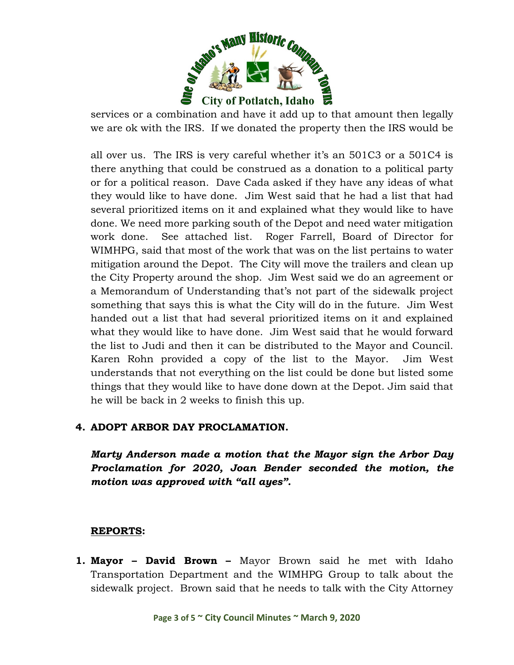

services or a combination and have it add up to that amount then legally we are ok with the IRS. If we donated the property then the IRS would be

all over us. The IRS is very careful whether it's an 501C3 or a 501C4 is there anything that could be construed as a donation to a political party or for a political reason. Dave Cada asked if they have any ideas of what they would like to have done. Jim West said that he had a list that had several prioritized items on it and explained what they would like to have done. We need more parking south of the Depot and need water mitigation work done. See attached list. Roger Farrell, Board of Director for WIMHPG, said that most of the work that was on the list pertains to water mitigation around the Depot. The City will move the trailers and clean up the City Property around the shop. Jim West said we do an agreement or a Memorandum of Understanding that's not part of the sidewalk project something that says this is what the City will do in the future. Jim West handed out a list that had several prioritized items on it and explained what they would like to have done. Jim West said that he would forward the list to Judi and then it can be distributed to the Mayor and Council. Karen Rohn provided a copy of the list to the Mayor. Jim West understands that not everything on the list could be done but listed some things that they would like to have done down at the Depot. Jim said that he will be back in 2 weeks to finish this up.

### **4. ADOPT ARBOR DAY PROCLAMATION.**

*Marty Anderson made a motion that the Mayor sign the Arbor Day Proclamation for 2020, Joan Bender seconded the motion, the motion was approved with "all ayes".*

### **REPORTS:**

**1. Mayor – David Brown –** Mayor Brown said he met with Idaho Transportation Department and the WIMHPG Group to talk about the sidewalk project. Brown said that he needs to talk with the City Attorney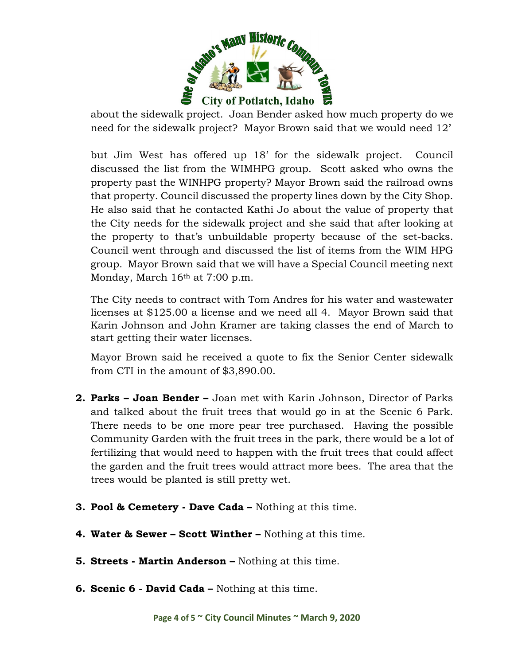

about the sidewalk project. Joan Bender asked how much property do we need for the sidewalk project? Mayor Brown said that we would need 12'

but Jim West has offered up 18' for the sidewalk project. Council discussed the list from the WIMHPG group. Scott asked who owns the property past the WINHPG property? Mayor Brown said the railroad owns that property. Council discussed the property lines down by the City Shop. He also said that he contacted Kathi Jo about the value of property that the City needs for the sidewalk project and she said that after looking at the property to that's unbuildable property because of the set-backs. Council went through and discussed the list of items from the WIM HPG group. Mayor Brown said that we will have a Special Council meeting next Monday, March 16<sup>th</sup> at 7:00 p.m.

The City needs to contract with Tom Andres for his water and wastewater licenses at \$125.00 a license and we need all 4. Mayor Brown said that Karin Johnson and John Kramer are taking classes the end of March to start getting their water licenses.

Mayor Brown said he received a quote to fix the Senior Center sidewalk from CTI in the amount of \$3,890.00.

- **2. Parks – Joan Bender –** Joan met with Karin Johnson, Director of Parks and talked about the fruit trees that would go in at the Scenic 6 Park. There needs to be one more pear tree purchased. Having the possible Community Garden with the fruit trees in the park, there would be a lot of fertilizing that would need to happen with the fruit trees that could affect the garden and the fruit trees would attract more bees. The area that the trees would be planted is still pretty wet.
- **3. Pool & Cemetery - Dave Cada –** Nothing at this time.
- **4. Water & Sewer – Scott Winther –** Nothing at this time.
- **5. Streets - Martin Anderson –** Nothing at this time.
- **6. Scenic 6 - David Cada –** Nothing at this time.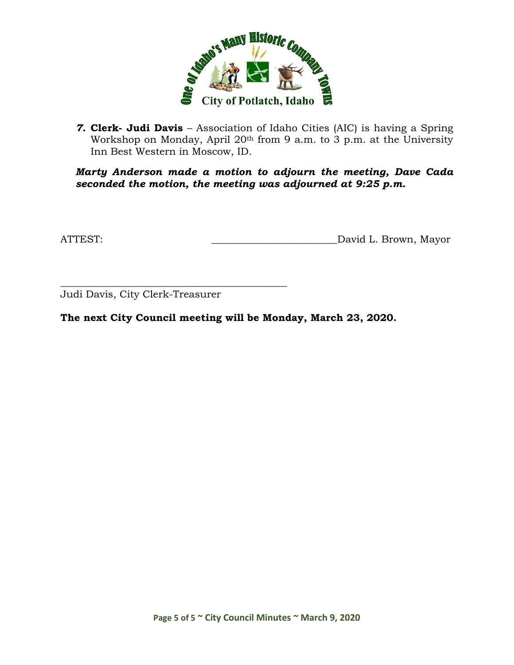

*7.* **Clerk- Judi Davis** – Association of Idaho Cities (AIC) is having a Spring Workshop on Monday, April 20<sup>th</sup> from 9 a.m. to 3 p.m. at the University Inn Best Western in Moscow, ID.

*Marty Anderson made a motion to adjourn the meeting, Dave Cada seconded the motion, the meeting was adjourned at 9:25 p.m.*

ATTEST: ATTEST: AND AND AND ALL Brown, Mayor

\_\_\_\_\_\_\_\_\_\_\_\_\_\_\_\_\_\_\_\_\_\_\_\_\_\_\_\_\_\_\_\_\_\_\_\_\_\_\_\_\_\_\_\_\_ Judi Davis, City Clerk-Treasurer

**The next City Council meeting will be Monday, March 23, 2020.**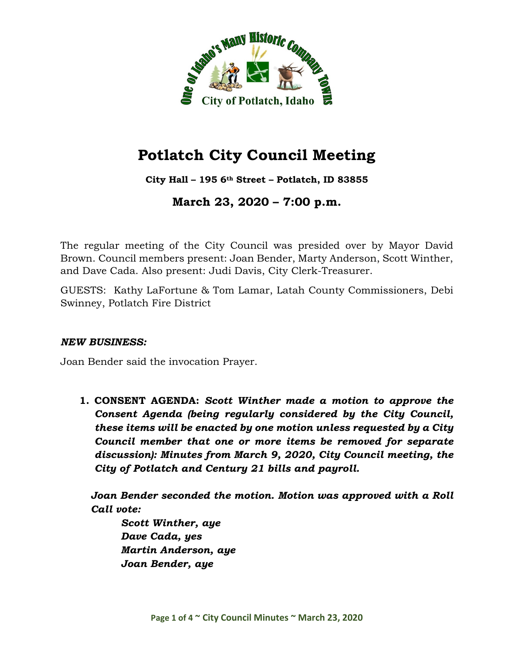

**City Hall – 195 6th Street – Potlatch, ID 83855**

**March 23, 2020 – 7:00 p.m.**

The regular meeting of the City Council was presided over by Mayor David Brown. Council members present: Joan Bender, Marty Anderson, Scott Winther, and Dave Cada. Also present: Judi Davis, City Clerk-Treasurer.

GUESTS: Kathy LaFortune & Tom Lamar, Latah County Commissioners, Debi Swinney, Potlatch Fire District

### *NEW BUSINESS:*

Joan Bender said the invocation Prayer.

**1. CONSENT AGENDA:** *Scott Winther made a motion to approve the Consent Agenda (being regularly considered by the City Council, these items will be enacted by one motion unless requested by a City Council member that one or more items be removed for separate discussion): Minutes from March 9, 2020, City Council meeting, the City of Potlatch and Century 21 bills and payroll.*

*Joan Bender seconded the motion. Motion was approved with a Roll Call vote:*

*Scott Winther, aye Dave Cada, yes Martin Anderson, aye Joan Bender, aye*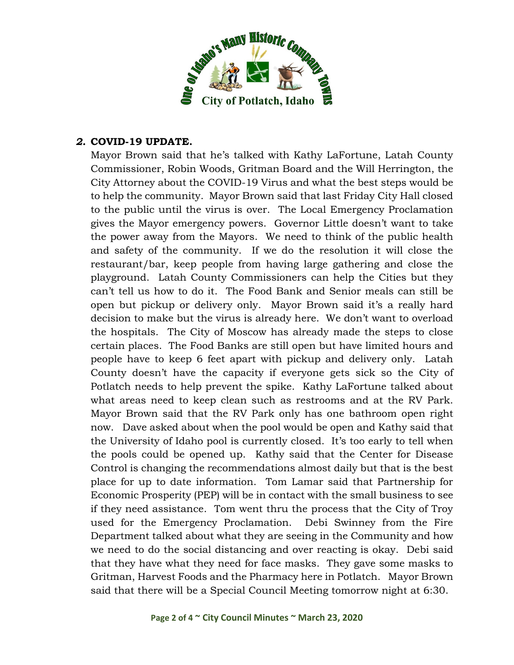

### *2.* **COVID-19 UPDATE.**

Mayor Brown said that he's talked with Kathy LaFortune, Latah County Commissioner, Robin Woods, Gritman Board and the Will Herrington, the City Attorney about the COVID-19 Virus and what the best steps would be to help the community. Mayor Brown said that last Friday City Hall closed to the public until the virus is over. The Local Emergency Proclamation gives the Mayor emergency powers. Governor Little doesn't want to take the power away from the Mayors. We need to think of the public health and safety of the community. If we do the resolution it will close the restaurant/bar, keep people from having large gathering and close the playground. Latah County Commissioners can help the Cities but they can't tell us how to do it. The Food Bank and Senior meals can still be open but pickup or delivery only. Mayor Brown said it's a really hard decision to make but the virus is already here. We don't want to overload the hospitals. The City of Moscow has already made the steps to close certain places. The Food Banks are still open but have limited hours and people have to keep 6 feet apart with pickup and delivery only. Latah County doesn't have the capacity if everyone gets sick so the City of Potlatch needs to help prevent the spike. Kathy LaFortune talked about what areas need to keep clean such as restrooms and at the RV Park. Mayor Brown said that the RV Park only has one bathroom open right now. Dave asked about when the pool would be open and Kathy said that the University of Idaho pool is currently closed. It's too early to tell when the pools could be opened up. Kathy said that the Center for Disease Control is changing the recommendations almost daily but that is the best place for up to date information. Tom Lamar said that Partnership for Economic Prosperity (PEP) will be in contact with the small business to see if they need assistance. Tom went thru the process that the City of Troy used for the Emergency Proclamation. Debi Swinney from the Fire Department talked about what they are seeing in the Community and how we need to do the social distancing and over reacting is okay. Debi said that they have what they need for face masks. They gave some masks to Gritman, Harvest Foods and the Pharmacy here in Potlatch. Mayor Brown said that there will be a Special Council Meeting tomorrow night at 6:30.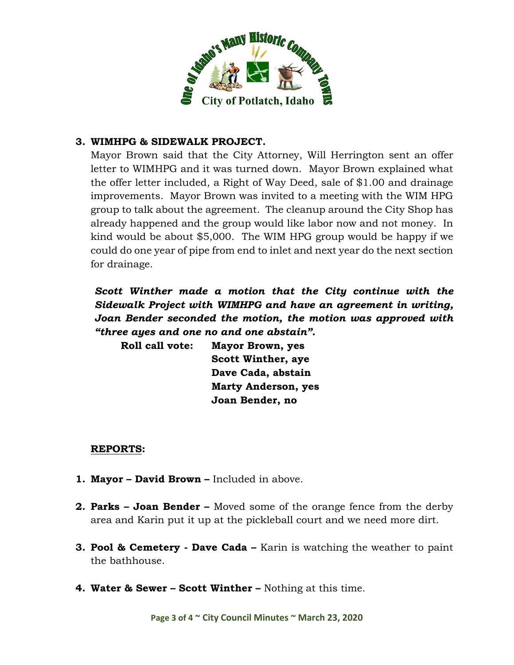

#### **3. WIMHPG & SIDEWALK PROJECT.**

Mayor Brown said that the City Attorney, Will Herrington sent an offer letter to WIMHPG and it was turned down. Mayor Brown explained what the offer letter included, a Right of Way Deed, sale of \$1.00 and drainage improvements. Mayor Brown was invited to a meeting with the WIM HPG group to talk about the agreement. The cleanup around the City Shop has already happened and the group would like labor now and not money. In kind would be about \$5,000. The WIM HPG group would be happy if we could do one year of pipe from end to inlet and next year do the next section for drainage.

*Scott Winther made a motion that the City continue with the Sidewalk Project with WIMHPG and have an agreement in writing, Joan Bender seconded the motion, the motion was approved with "three ayes and one no and one abstain".*

**Roll call vote: Mayor Brown, yes Scott Winther, aye Dave Cada, abstain Marty Anderson, yes Joan Bender, no**

#### **REPORTS:**

- **1. Mayor – David Brown –** Included in above.
- **2. Parks – Joan Bender –** Moved some of the orange fence from the derby area and Karin put it up at the pickleball court and we need more dirt.
- **3. Pool & Cemetery - Dave Cada –** Karin is watching the weather to paint the bathhouse.
- **4. Water & Sewer – Scott Winther –** Nothing at this time.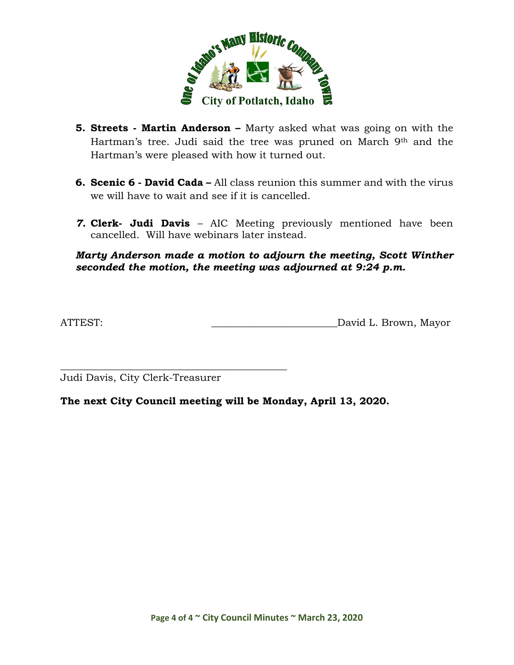

- **5. Streets - Martin Anderson –** Marty asked what was going on with the Hartman's tree. Judi said the tree was pruned on March 9<sup>th</sup> and the Hartman's were pleased with how it turned out.
- **6. Scenic 6 - David Cada –** All class reunion this summer and with the virus we will have to wait and see if it is cancelled.
- *7.* **Clerk- Judi Davis** AIC Meeting previously mentioned have been cancelled. Will have webinars later instead.

#### *Marty Anderson made a motion to adjourn the meeting, Scott Winther seconded the motion, the meeting was adjourned at 9:24 p.m.*

ATTEST: ATTEST:

Judi Davis, City Clerk-Treasurer

\_\_\_\_\_\_\_\_\_\_\_\_\_\_\_\_\_\_\_\_\_\_\_\_\_\_\_\_\_\_\_\_\_\_\_\_\_\_\_\_\_\_\_\_\_

**The next City Council meeting will be Monday, April 13, 2020.**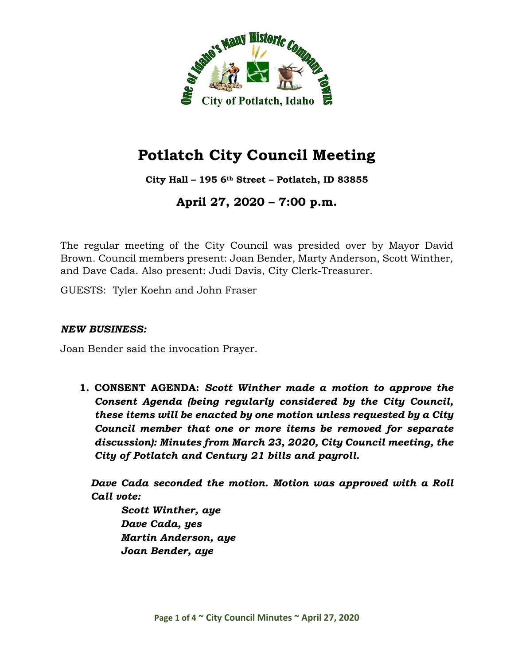

**City Hall – 195 6th Street – Potlatch, ID 83855**

**April 27, 2020 – 7:00 p.m.**

The regular meeting of the City Council was presided over by Mayor David Brown. Council members present: Joan Bender, Marty Anderson, Scott Winther, and Dave Cada. Also present: Judi Davis, City Clerk-Treasurer.

GUESTS: Tyler Koehn and John Fraser

#### *NEW BUSINESS:*

Joan Bender said the invocation Prayer.

**1. CONSENT AGENDA:** *Scott Winther made a motion to approve the Consent Agenda (being regularly considered by the City Council, these items will be enacted by one motion unless requested by a City Council member that one or more items be removed for separate discussion): Minutes from March 23, 2020, City Council meeting, the City of Potlatch and Century 21 bills and payroll.*

*Dave Cada seconded the motion. Motion was approved with a Roll Call vote:*

*Scott Winther, aye Dave Cada, yes Martin Anderson, aye Joan Bender, aye*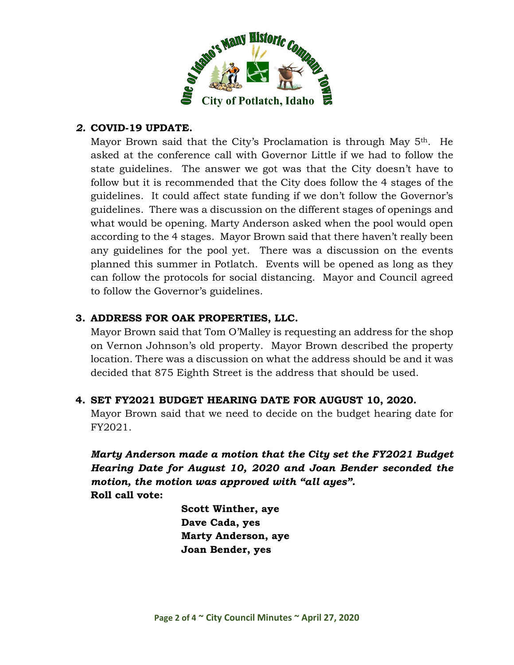

## *2.* **COVID-19 UPDATE.**

Mayor Brown said that the City's Proclamation is through May 5<sup>th</sup>. He asked at the conference call with Governor Little if we had to follow the state guidelines. The answer we got was that the City doesn't have to follow but it is recommended that the City does follow the 4 stages of the guidelines. It could affect state funding if we don't follow the Governor's guidelines. There was a discussion on the different stages of openings and what would be opening. Marty Anderson asked when the pool would open according to the 4 stages. Mayor Brown said that there haven't really been any guidelines for the pool yet. There was a discussion on the events planned this summer in Potlatch. Events will be opened as long as they can follow the protocols for social distancing. Mayor and Council agreed to follow the Governor's guidelines.

## **3. ADDRESS FOR OAK PROPERTIES, LLC.**

Mayor Brown said that Tom O'Malley is requesting an address for the shop on Vernon Johnson's old property. Mayor Brown described the property location. There was a discussion on what the address should be and it was decided that 875 Eighth Street is the address that should be used.

### **4. SET FY2021 BUDGET HEARING DATE FOR AUGUST 10, 2020.**

Mayor Brown said that we need to decide on the budget hearing date for FY2021.

*Marty Anderson made a motion that the City set the FY2021 Budget Hearing Date for August 10, 2020 and Joan Bender seconded the motion, the motion was approved with "all ayes".* **Roll call vote:**

> **Scott Winther, aye Dave Cada, yes Marty Anderson, aye Joan Bender, yes**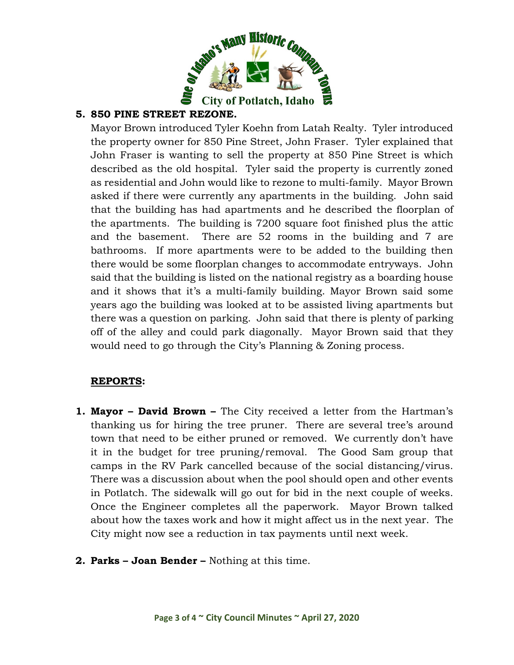

## **5. 850 PINE STREET REZONE.**

Mayor Brown introduced Tyler Koehn from Latah Realty. Tyler introduced the property owner for 850 Pine Street, John Fraser. Tyler explained that John Fraser is wanting to sell the property at 850 Pine Street is which described as the old hospital. Tyler said the property is currently zoned as residential and John would like to rezone to multi-family. Mayor Brown asked if there were currently any apartments in the building. John said that the building has had apartments and he described the floorplan of the apartments. The building is 7200 square foot finished plus the attic and the basement. There are 52 rooms in the building and 7 are bathrooms. If more apartments were to be added to the building then there would be some floorplan changes to accommodate entryways. John said that the building is listed on the national registry as a boarding house and it shows that it's a multi-family building. Mayor Brown said some years ago the building was looked at to be assisted living apartments but there was a question on parking. John said that there is plenty of parking off of the alley and could park diagonally. Mayor Brown said that they would need to go through the City's Planning & Zoning process.

### **REPORTS:**

- **1. Mayor – David Brown –** The City received a letter from the Hartman's thanking us for hiring the tree pruner. There are several tree's around town that need to be either pruned or removed. We currently don't have it in the budget for tree pruning/removal. The Good Sam group that camps in the RV Park cancelled because of the social distancing/virus. There was a discussion about when the pool should open and other events in Potlatch. The sidewalk will go out for bid in the next couple of weeks. Once the Engineer completes all the paperwork. Mayor Brown talked about how the taxes work and how it might affect us in the next year. The City might now see a reduction in tax payments until next week.
- **2. Parks – Joan Bender –** Nothing at this time.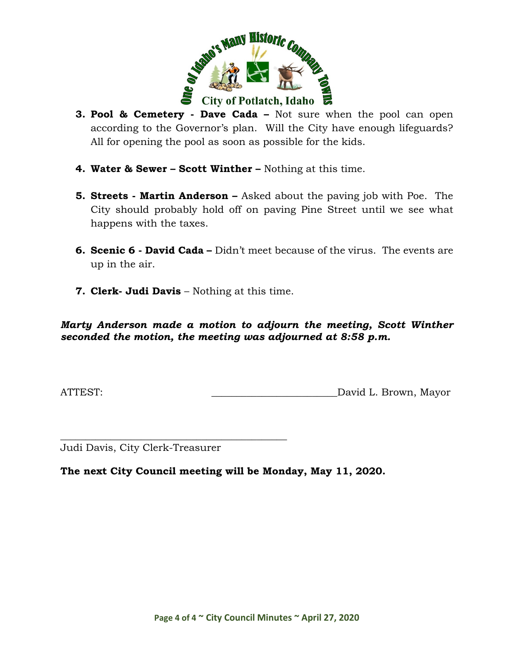

- **3. Pool & Cemetery - Dave Cada –** Not sure when the pool can open according to the Governor's plan. Will the City have enough lifeguards? All for opening the pool as soon as possible for the kids.
- **4. Water & Sewer – Scott Winther –** Nothing at this time.
- **5. Streets - Martin Anderson –** Asked about the paving job with Poe. The City should probably hold off on paving Pine Street until we see what happens with the taxes.
- **6. Scenic 6 - David Cada –** Didn't meet because of the virus. The events are up in the air.
- **7. Clerk- Judi Davis** Nothing at this time.

*Marty Anderson made a motion to adjourn the meeting, Scott Winther seconded the motion, the meeting was adjourned at 8:58 p.m.*

ATTEST: \_\_\_\_\_\_\_\_\_\_\_\_\_\_\_\_\_\_\_\_\_\_\_\_\_David L. Brown, Mayor

Judi Davis, City Clerk-Treasurer

\_\_\_\_\_\_\_\_\_\_\_\_\_\_\_\_\_\_\_\_\_\_\_\_\_\_\_\_\_\_\_\_\_\_\_\_\_\_\_\_\_\_\_\_\_

**The next City Council meeting will be Monday, May 11, 2020.**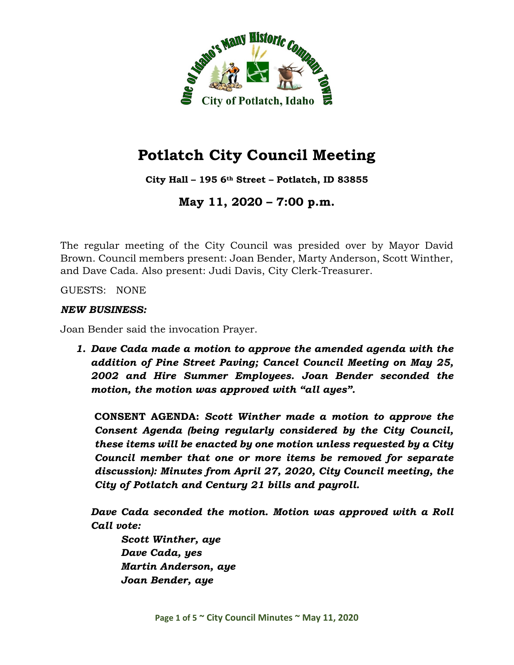

**City Hall – 195 6th Street – Potlatch, ID 83855**

**May 11, 2020 – 7:00 p.m.**

The regular meeting of the City Council was presided over by Mayor David Brown. Council members present: Joan Bender, Marty Anderson, Scott Winther, and Dave Cada. Also present: Judi Davis, City Clerk-Treasurer.

GUESTS: NONE

#### *NEW BUSINESS:*

Joan Bender said the invocation Prayer.

*1. Dave Cada made a motion to approve the amended agenda with the addition of Pine Street Paving; Cancel Council Meeting on May 25, 2002 and Hire Summer Employees. Joan Bender seconded the motion, the motion was approved with "all ayes".*

**CONSENT AGENDA:** *Scott Winther made a motion to approve the Consent Agenda (being regularly considered by the City Council, these items will be enacted by one motion unless requested by a City Council member that one or more items be removed for separate discussion): Minutes from April 27, 2020, City Council meeting, the City of Potlatch and Century 21 bills and payroll.*

*Dave Cada seconded the motion. Motion was approved with a Roll Call vote:*

*Scott Winther, aye Dave Cada, yes Martin Anderson, aye Joan Bender, aye*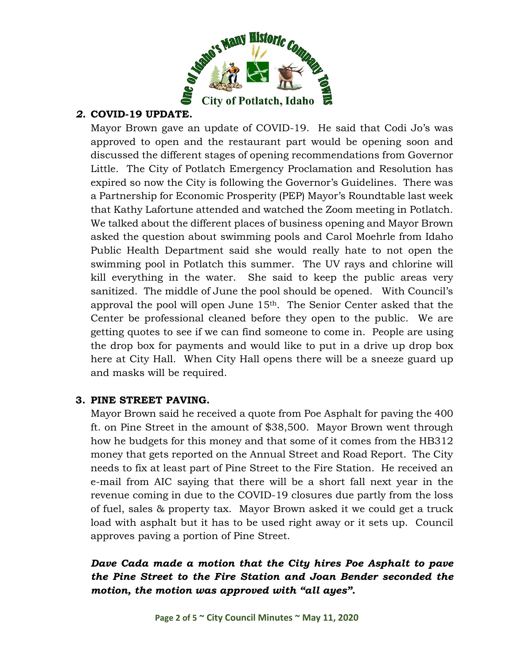

## *2.* **COVID-19 UPDATE.**

Mayor Brown gave an update of COVID-19. He said that Codi Jo's was approved to open and the restaurant part would be opening soon and discussed the different stages of opening recommendations from Governor Little. The City of Potlatch Emergency Proclamation and Resolution has expired so now the City is following the Governor's Guidelines. There was a Partnership for Economic Prosperity (PEP) Mayor's Roundtable last week that Kathy Lafortune attended and watched the Zoom meeting in Potlatch. We talked about the different places of business opening and Mayor Brown asked the question about swimming pools and Carol Moehrle from Idaho Public Health Department said she would really hate to not open the swimming pool in Potlatch this summer. The UV rays and chlorine will kill everything in the water. She said to keep the public areas very sanitized. The middle of June the pool should be opened. With Council's approval the pool will open June 15th. The Senior Center asked that the Center be professional cleaned before they open to the public. We are getting quotes to see if we can find someone to come in. People are using the drop box for payments and would like to put in a drive up drop box here at City Hall. When City Hall opens there will be a sneeze guard up and masks will be required.

### **3. PINE STREET PAVING.**

Mayor Brown said he received a quote from Poe Asphalt for paving the 400 ft. on Pine Street in the amount of \$38,500. Mayor Brown went through how he budgets for this money and that some of it comes from the HB312 money that gets reported on the Annual Street and Road Report. The City needs to fix at least part of Pine Street to the Fire Station. He received an e-mail from AIC saying that there will be a short fall next year in the revenue coming in due to the COVID-19 closures due partly from the loss of fuel, sales & property tax. Mayor Brown asked it we could get a truck load with asphalt but it has to be used right away or it sets up. Council approves paving a portion of Pine Street.

## *Dave Cada made a motion that the City hires Poe Asphalt to pave the Pine Street to the Fire Station and Joan Bender seconded the motion, the motion was approved with "all ayes".*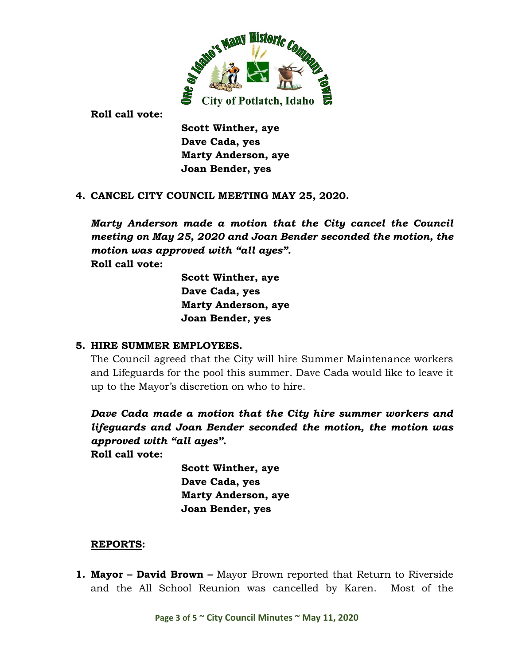

**Roll call vote:**

**Scott Winther, aye Dave Cada, yes Marty Anderson, aye Joan Bender, yes**

#### **4. CANCEL CITY COUNCIL MEETING MAY 25, 2020.**

*Marty Anderson made a motion that the City cancel the Council meeting on May 25, 2020 and Joan Bender seconded the motion, the motion was approved with "all ayes".* **Roll call vote:**

> **Scott Winther, aye Dave Cada, yes Marty Anderson, aye Joan Bender, yes**

#### **5. HIRE SUMMER EMPLOYEES.**

The Council agreed that the City will hire Summer Maintenance workers and Lifeguards for the pool this summer. Dave Cada would like to leave it up to the Mayor's discretion on who to hire.

*Dave Cada made a motion that the City hire summer workers and lifeguards and Joan Bender seconded the motion, the motion was approved with "all ayes".*

**Roll call vote:**

**Scott Winther, aye Dave Cada, yes Marty Anderson, aye Joan Bender, yes**

### **REPORTS:**

**1. Mayor – David Brown –** Mayor Brown reported that Return to Riverside and the All School Reunion was cancelled by Karen. Most of the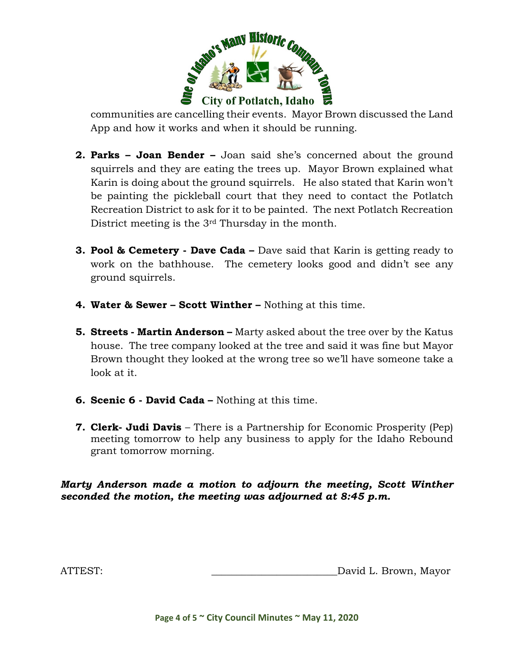

communities are cancelling their events. Mayor Brown discussed the Land App and how it works and when it should be running.

- **2. Parks – Joan Bender –** Joan said she's concerned about the ground squirrels and they are eating the trees up. Mayor Brown explained what Karin is doing about the ground squirrels. He also stated that Karin won't be painting the pickleball court that they need to contact the Potlatch Recreation District to ask for it to be painted. The next Potlatch Recreation District meeting is the 3rd Thursday in the month.
- **3. Pool & Cemetery - Dave Cada –** Dave said that Karin is getting ready to work on the bathhouse. The cemetery looks good and didn't see any ground squirrels.
- **4. Water & Sewer – Scott Winther –** Nothing at this time.
- **5. Streets - Martin Anderson –** Marty asked about the tree over by the Katus house. The tree company looked at the tree and said it was fine but Mayor Brown thought they looked at the wrong tree so we'll have someone take a look at it.
- **6. Scenic 6 - David Cada –** Nothing at this time.
- **7. Clerk- Judi Davis** There is a Partnership for Economic Prosperity (Pep) meeting tomorrow to help any business to apply for the Idaho Rebound grant tomorrow morning.

#### *Marty Anderson made a motion to adjourn the meeting, Scott Winther seconded the motion, the meeting was adjourned at 8:45 p.m.*

ATTEST: \_\_\_\_\_\_\_\_\_\_\_\_\_\_\_\_\_\_\_\_\_\_\_\_\_David L. Brown, Mayor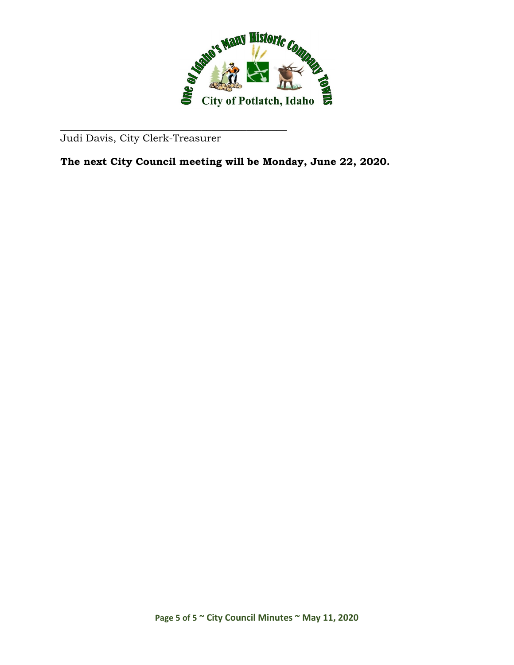

Judi Davis, City Clerk-Treasurer

\_\_\_\_\_\_\_\_\_\_\_\_\_\_\_\_\_\_\_\_\_\_\_\_\_\_\_\_\_\_\_\_\_\_\_\_\_\_\_\_\_\_\_\_\_

**The next City Council meeting will be Monday, June 22, 2020.**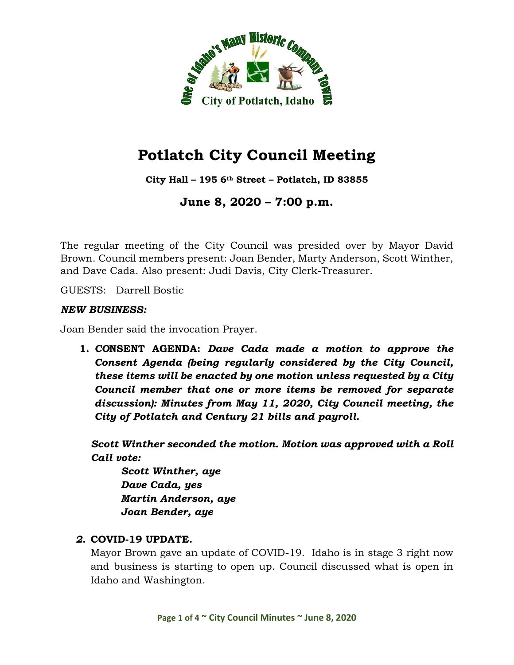

**City Hall – 195 6th Street – Potlatch, ID 83855**

**June 8, 2020 – 7:00 p.m.**

The regular meeting of the City Council was presided over by Mayor David Brown. Council members present: Joan Bender, Marty Anderson, Scott Winther, and Dave Cada. Also present: Judi Davis, City Clerk-Treasurer.

GUESTS: Darrell Bostic

#### *NEW BUSINESS:*

Joan Bender said the invocation Prayer.

**1.** *CO***NSENT AGENDA:** *Dave Cada made a motion to approve the Consent Agenda (being regularly considered by the City Council, these items will be enacted by one motion unless requested by a City Council member that one or more items be removed for separate discussion): Minutes from May 11, 2020, City Council meeting, the City of Potlatch and Century 21 bills and payroll.*

*Scott Winther seconded the motion. Motion was approved with a Roll Call vote:*

*Scott Winther, aye Dave Cada, yes Martin Anderson, aye Joan Bender, aye*

### *2.* **COVID-19 UPDATE.**

Mayor Brown gave an update of COVID-19. Idaho is in stage 3 right now and business is starting to open up. Council discussed what is open in Idaho and Washington.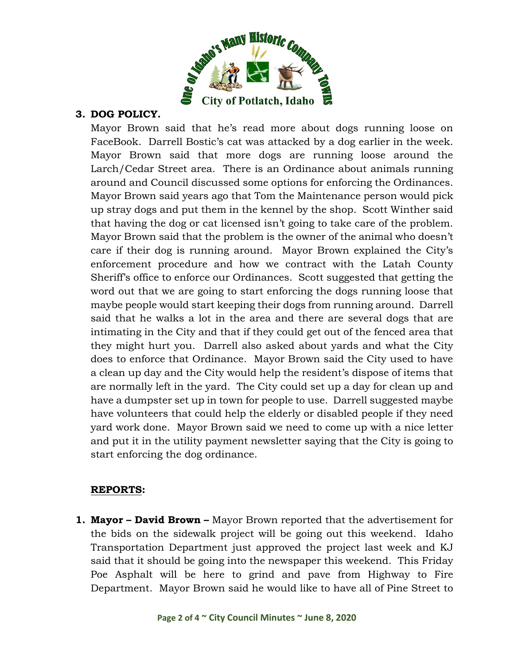

### **3. DOG POLICY.**

Mayor Brown said that he's read more about dogs running loose on FaceBook. Darrell Bostic's cat was attacked by a dog earlier in the week. Mayor Brown said that more dogs are running loose around the Larch/Cedar Street area. There is an Ordinance about animals running around and Council discussed some options for enforcing the Ordinances. Mayor Brown said years ago that Tom the Maintenance person would pick up stray dogs and put them in the kennel by the shop. Scott Winther said that having the dog or cat licensed isn't going to take care of the problem. Mayor Brown said that the problem is the owner of the animal who doesn't care if their dog is running around. Mayor Brown explained the City's enforcement procedure and how we contract with the Latah County Sheriff's office to enforce our Ordinances. Scott suggested that getting the word out that we are going to start enforcing the dogs running loose that maybe people would start keeping their dogs from running around. Darrell said that he walks a lot in the area and there are several dogs that are intimating in the City and that if they could get out of the fenced area that they might hurt you. Darrell also asked about yards and what the City does to enforce that Ordinance. Mayor Brown said the City used to have a clean up day and the City would help the resident's dispose of items that are normally left in the yard. The City could set up a day for clean up and have a dumpster set up in town for people to use. Darrell suggested maybe have volunteers that could help the elderly or disabled people if they need yard work done. Mayor Brown said we need to come up with a nice letter and put it in the utility payment newsletter saying that the City is going to start enforcing the dog ordinance.

### **REPORTS:**

**1. Mayor – David Brown –** Mayor Brown reported that the advertisement for the bids on the sidewalk project will be going out this weekend. Idaho Transportation Department just approved the project last week and KJ said that it should be going into the newspaper this weekend. This Friday Poe Asphalt will be here to grind and pave from Highway to Fire Department. Mayor Brown said he would like to have all of Pine Street to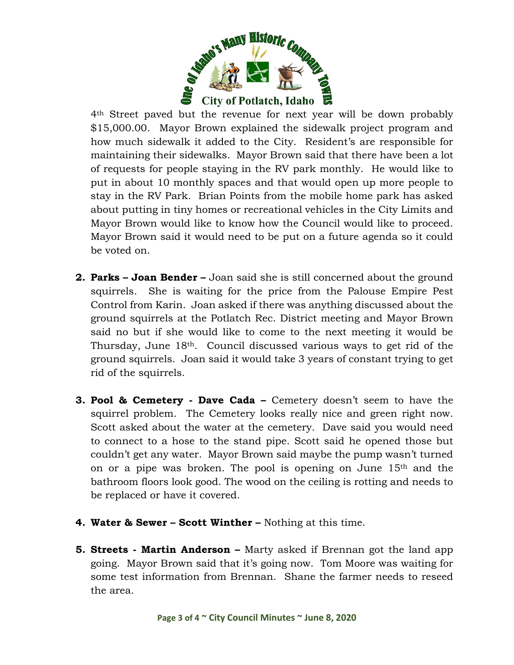

4th Street paved but the revenue for next year will be down probably \$15,000.00. Mayor Brown explained the sidewalk project program and how much sidewalk it added to the City. Resident's are responsible for maintaining their sidewalks. Mayor Brown said that there have been a lot of requests for people staying in the RV park monthly. He would like to put in about 10 monthly spaces and that would open up more people to stay in the RV Park. Brian Points from the mobile home park has asked about putting in tiny homes or recreational vehicles in the City Limits and Mayor Brown would like to know how the Council would like to proceed. Mayor Brown said it would need to be put on a future agenda so it could be voted on.

- **2. Parks – Joan Bender –** Joan said she is still concerned about the ground squirrels. She is waiting for the price from the Palouse Empire Pest Control from Karin. Joan asked if there was anything discussed about the ground squirrels at the Potlatch Rec. District meeting and Mayor Brown said no but if she would like to come to the next meeting it would be Thursday, June 18th. Council discussed various ways to get rid of the ground squirrels. Joan said it would take 3 years of constant trying to get rid of the squirrels.
- **3. Pool & Cemetery - Dave Cada –** Cemetery doesn't seem to have the squirrel problem. The Cemetery looks really nice and green right now. Scott asked about the water at the cemetery. Dave said you would need to connect to a hose to the stand pipe. Scott said he opened those but couldn't get any water. Mayor Brown said maybe the pump wasn't turned on or a pipe was broken. The pool is opening on June 15th and the bathroom floors look good. The wood on the ceiling is rotting and needs to be replaced or have it covered.
- **4. Water & Sewer – Scott Winther –** Nothing at this time.
- **5. Streets - Martin Anderson –** Marty asked if Brennan got the land app going. Mayor Brown said that it's going now. Tom Moore was waiting for some test information from Brennan. Shane the farmer needs to reseed the area.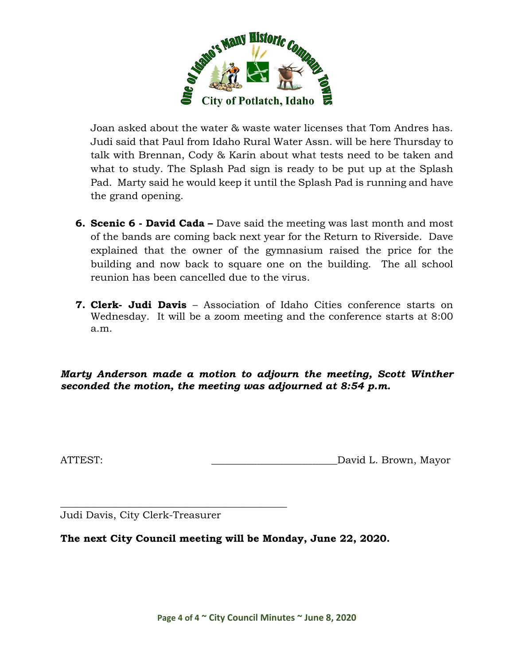

Joan asked about the water & waste water licenses that Tom Andres has. Judi said that Paul from Idaho Rural Water Assn. will be here Thursday to talk with Brennan, Cody & Karin about what tests need to be taken and what to study. The Splash Pad sign is ready to be put up at the Splash Pad. Marty said he would keep it until the Splash Pad is running and have the grand opening.

- **6. Scenic 6 - David Cada –** Dave said the meeting was last month and most of the bands are coming back next year for the Return to Riverside. Dave explained that the owner of the gymnasium raised the price for the building and now back to square one on the building. The all school reunion has been cancelled due to the virus.
- **7. Clerk- Judi Davis** Association of Idaho Cities conference starts on Wednesday. It will be a zoom meeting and the conference starts at 8:00 a.m.

*Marty Anderson made a motion to adjourn the meeting, Scott Winther seconded the motion, the meeting was adjourned at 8:54 p.m.*

ATTEST: ATTEST: AND AND ALL DAVID L. Brown, Mayor

\_\_\_\_\_\_\_\_\_\_\_\_\_\_\_\_\_\_\_\_\_\_\_\_\_\_\_\_\_\_\_\_\_\_\_\_\_\_\_\_\_\_\_\_\_ Judi Davis, City Clerk-Treasurer

**The next City Council meeting will be Monday, June 22, 2020.**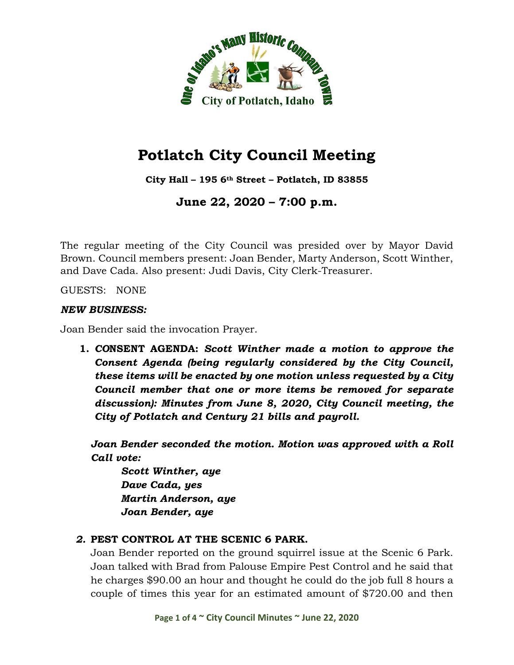

**City Hall – 195 6th Street – Potlatch, ID 83855**

**June 22, 2020 – 7:00 p.m.**

The regular meeting of the City Council was presided over by Mayor David Brown. Council members present: Joan Bender, Marty Anderson, Scott Winther, and Dave Cada. Also present: Judi Davis, City Clerk-Treasurer.

GUESTS: NONE

#### *NEW BUSINESS:*

Joan Bender said the invocation Prayer.

**1.** *CO***NSENT AGENDA:** *Scott Winther made a motion to approve the Consent Agenda (being regularly considered by the City Council, these items will be enacted by one motion unless requested by a City Council member that one or more items be removed for separate discussion): Minutes from June 8, 2020, City Council meeting, the City of Potlatch and Century 21 bills and payroll.*

*Joan Bender seconded the motion. Motion was approved with a Roll Call vote:*

*Scott Winther, aye Dave Cada, yes Martin Anderson, aye Joan Bender, aye*

# *2.* **PEST CONTROL AT THE SCENIC 6 PARK.**

Joan Bender reported on the ground squirrel issue at the Scenic 6 Park. Joan talked with Brad from Palouse Empire Pest Control and he said that he charges \$90.00 an hour and thought he could do the job full 8 hours a couple of times this year for an estimated amount of \$720.00 and then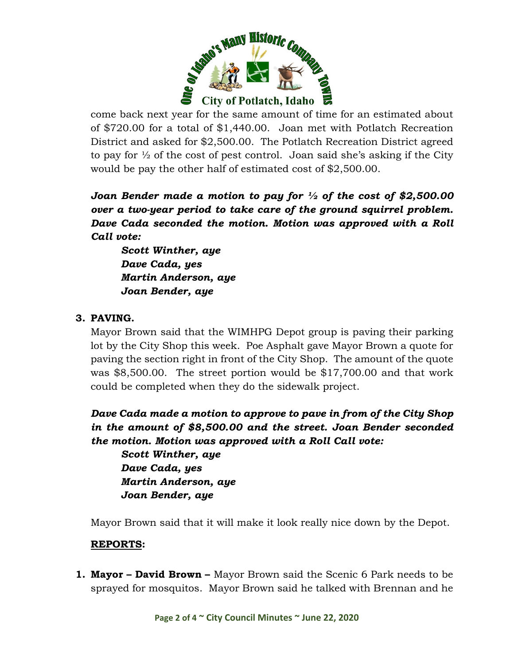

come back next year for the same amount of time for an estimated about of \$720.00 for a total of \$1,440.00. Joan met with Potlatch Recreation District and asked for \$2,500.00. The Potlatch Recreation District agreed to pay for  $\frac{1}{2}$  of the cost of pest control. Joan said she's asking if the City would be pay the other half of estimated cost of \$2,500.00.

*Joan Bender made a motion to pay for ½ of the cost of \$2,500.00 over a two-year period to take care of the ground squirrel problem. Dave Cada seconded the motion. Motion was approved with a Roll Call vote:*

*Scott Winther, aye Dave Cada, yes Martin Anderson, aye Joan Bender, aye*

# **3. PAVING.**

Mayor Brown said that the WIMHPG Depot group is paving their parking lot by the City Shop this week. Poe Asphalt gave Mayor Brown a quote for paving the section right in front of the City Shop. The amount of the quote was \$8,500.00. The street portion would be \$17,700.00 and that work could be completed when they do the sidewalk project.

*Dave Cada made a motion to approve to pave in from of the City Shop in the amount of \$8,500.00 and the street. Joan Bender seconded the motion. Motion was approved with a Roll Call vote:*

*Scott Winther, aye Dave Cada, yes Martin Anderson, aye Joan Bender, aye*

Mayor Brown said that it will make it look really nice down by the Depot.

# **REPORTS:**

**1. Mayor – David Brown –** Mayor Brown said the Scenic 6 Park needs to be sprayed for mosquitos. Mayor Brown said he talked with Brennan and he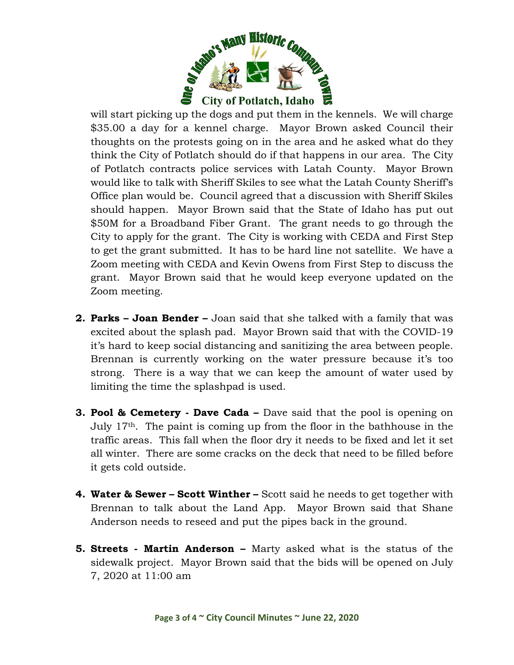

will start picking up the dogs and put them in the kennels. We will charge \$35.00 a day for a kennel charge. Mayor Brown asked Council their thoughts on the protests going on in the area and he asked what do they think the City of Potlatch should do if that happens in our area. The City of Potlatch contracts police services with Latah County. Mayor Brown would like to talk with Sheriff Skiles to see what the Latah County Sheriff's Office plan would be. Council agreed that a discussion with Sheriff Skiles should happen. Mayor Brown said that the State of Idaho has put out \$50M for a Broadband Fiber Grant. The grant needs to go through the City to apply for the grant. The City is working with CEDA and First Step to get the grant submitted. It has to be hard line not satellite. We have a Zoom meeting with CEDA and Kevin Owens from First Step to discuss the grant. Mayor Brown said that he would keep everyone updated on the Zoom meeting.

- **2. Parks – Joan Bender –** Joan said that she talked with a family that was excited about the splash pad. Mayor Brown said that with the COVID-19 it's hard to keep social distancing and sanitizing the area between people. Brennan is currently working on the water pressure because it's too strong. There is a way that we can keep the amount of water used by limiting the time the splashpad is used.
- **3. Pool & Cemetery - Dave Cada –** Dave said that the pool is opening on July 17th. The paint is coming up from the floor in the bathhouse in the traffic areas. This fall when the floor dry it needs to be fixed and let it set all winter. There are some cracks on the deck that need to be filled before it gets cold outside.
- **4. Water & Sewer – Scott Winther –** Scott said he needs to get together with Brennan to talk about the Land App. Mayor Brown said that Shane Anderson needs to reseed and put the pipes back in the ground.
- **5. Streets - Martin Anderson –** Marty asked what is the status of the sidewalk project. Mayor Brown said that the bids will be opened on July 7, 2020 at 11:00 am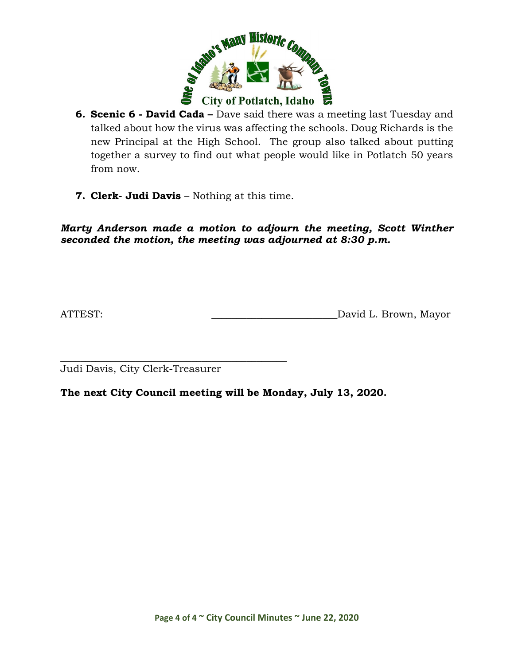

- **6. Scenic 6 - David Cada –** Dave said there was a meeting last Tuesday and talked about how the virus was affecting the schools. Doug Richards is the new Principal at the High School. The group also talked about putting together a survey to find out what people would like in Potlatch 50 years from now.
- **7. Clerk- Judi Davis** Nothing at this time.

*Marty Anderson made a motion to adjourn the meeting, Scott Winther seconded the motion, the meeting was adjourned at 8:30 p.m.*

ATTEST: ATTEST: David L. Brown, Mayor

\_\_\_\_\_\_\_\_\_\_\_\_\_\_\_\_\_\_\_\_\_\_\_\_\_\_\_\_\_\_\_\_\_\_\_\_\_\_\_\_\_\_\_\_\_ Judi Davis, City Clerk-Treasurer

**The next City Council meeting will be Monday, July 13, 2020.**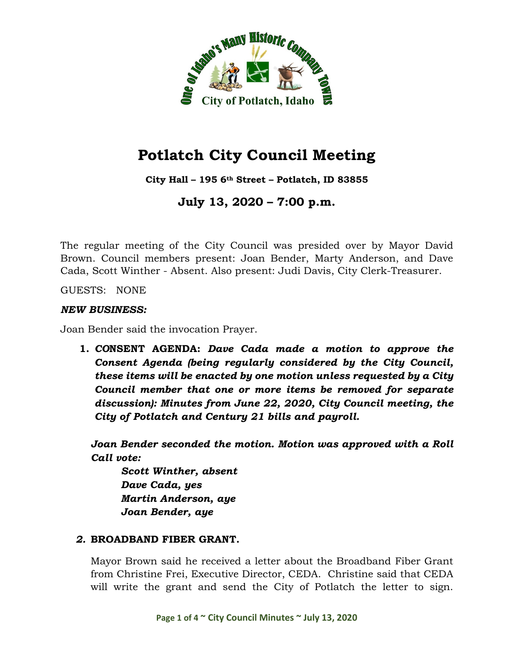

**City Hall – 195 6th Street – Potlatch, ID 83855**

**July 13, 2020 – 7:00 p.m.**

The regular meeting of the City Council was presided over by Mayor David Brown. Council members present: Joan Bender, Marty Anderson, and Dave Cada, Scott Winther - Absent. Also present: Judi Davis, City Clerk-Treasurer.

GUESTS: NONE

#### *NEW BUSINESS:*

Joan Bender said the invocation Prayer.

**1.** *CO***NSENT AGENDA:** *Dave Cada made a motion to approve the Consent Agenda (being regularly considered by the City Council, these items will be enacted by one motion unless requested by a City Council member that one or more items be removed for separate discussion): Minutes from June 22, 2020, City Council meeting, the City of Potlatch and Century 21 bills and payroll.*

*Joan Bender seconded the motion. Motion was approved with a Roll Call vote:*

*Scott Winther, absent Dave Cada, yes Martin Anderson, aye Joan Bender, aye*

# *2.* **BROADBAND FIBER GRANT.**

Mayor Brown said he received a letter about the Broadband Fiber Grant from Christine Frei, Executive Director, CEDA. Christine said that CEDA will write the grant and send the City of Potlatch the letter to sign.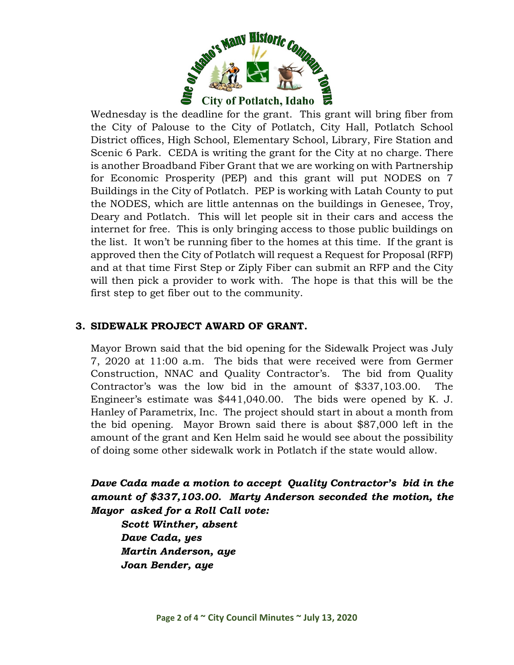

Wednesday is the deadline for the grant. This grant will bring fiber from the City of Palouse to the City of Potlatch, City Hall, Potlatch School District offices, High School, Elementary School, Library, Fire Station and Scenic 6 Park. CEDA is writing the grant for the City at no charge. There is another Broadband Fiber Grant that we are working on with Partnership for Economic Prosperity (PEP) and this grant will put NODES on 7 Buildings in the City of Potlatch. PEP is working with Latah County to put the NODES, which are little antennas on the buildings in Genesee, Troy, Deary and Potlatch. This will let people sit in their cars and access the internet for free. This is only bringing access to those public buildings on the list. It won't be running fiber to the homes at this time. If the grant is approved then the City of Potlatch will request a Request for Proposal (RFP) and at that time First Step or Ziply Fiber can submit an RFP and the City will then pick a provider to work with. The hope is that this will be the first step to get fiber out to the community.

# **3. SIDEWALK PROJECT AWARD OF GRANT.**

Mayor Brown said that the bid opening for the Sidewalk Project was July 7, 2020 at 11:00 a.m. The bids that were received were from Germer Construction, NNAC and Quality Contractor's. The bid from Quality Contractor's was the low bid in the amount of \$337,103.00. The Engineer's estimate was \$441,040.00. The bids were opened by K. J. Hanley of Parametrix, Inc. The project should start in about a month from the bid opening. Mayor Brown said there is about \$87,000 left in the amount of the grant and Ken Helm said he would see about the possibility of doing some other sidewalk work in Potlatch if the state would allow.

*Dave Cada made a motion to accept Quality Contractor's bid in the amount of \$337,103.00. Marty Anderson seconded the motion, the Mayor asked for a Roll Call vote:*

*Scott Winther, absent Dave Cada, yes Martin Anderson, aye Joan Bender, aye*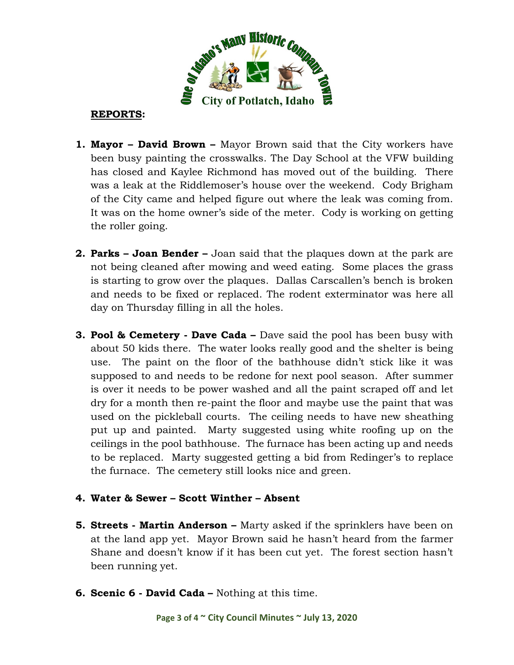

# **REPORTS:**

- **1. Mayor – David Brown –** Mayor Brown said that the City workers have been busy painting the crosswalks. The Day School at the VFW building has closed and Kaylee Richmond has moved out of the building. There was a leak at the Riddlemoser's house over the weekend. Cody Brigham of the City came and helped figure out where the leak was coming from. It was on the home owner's side of the meter. Cody is working on getting the roller going.
- **2. Parks – Joan Bender –** Joan said that the plaques down at the park are not being cleaned after mowing and weed eating. Some places the grass is starting to grow over the plaques. Dallas Carscallen's bench is broken and needs to be fixed or replaced. The rodent exterminator was here all day on Thursday filling in all the holes.
- **3. Pool & Cemetery - Dave Cada –** Dave said the pool has been busy with about 50 kids there. The water looks really good and the shelter is being use. The paint on the floor of the bathhouse didn't stick like it was supposed to and needs to be redone for next pool season. After summer is over it needs to be power washed and all the paint scraped off and let dry for a month then re-paint the floor and maybe use the paint that was used on the pickleball courts. The ceiling needs to have new sheathing put up and painted. Marty suggested using white roofing up on the ceilings in the pool bathhouse. The furnace has been acting up and needs to be replaced. Marty suggested getting a bid from Redinger's to replace the furnace. The cemetery still looks nice and green.

# **4. Water & Sewer – Scott Winther – Absent**

- **5. Streets - Martin Anderson –** Marty asked if the sprinklers have been on at the land app yet. Mayor Brown said he hasn't heard from the farmer Shane and doesn't know if it has been cut yet. The forest section hasn't been running yet.
- **6. Scenic 6 - David Cada –** Nothing at this time.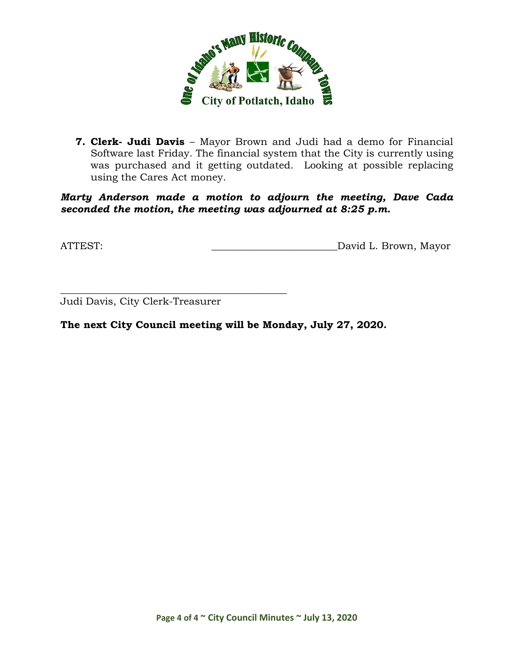

**7. Clerk- Judi Davis** – Mayor Brown and Judi had a demo for Financial Software last Friday. The financial system that the City is currently using was purchased and it getting outdated. Looking at possible replacing using the Cares Act money.

*Marty Anderson made a motion to adjourn the meeting, Dave Cada seconded the motion, the meeting was adjourned at 8:25 p.m.*

ATTEST: David L. Brown, Mayor

Judi Davis, City Clerk-Treasurer

\_\_\_\_\_\_\_\_\_\_\_\_\_\_\_\_\_\_\_\_\_\_\_\_\_\_\_\_\_\_\_\_\_\_\_\_\_\_\_\_\_\_\_\_\_

**The next City Council meeting will be Monday, July 27, 2020.**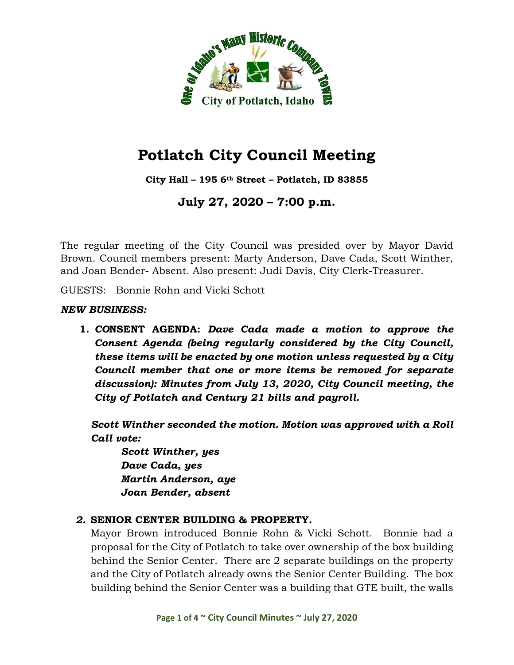

**City Hall – 195 6th Street – Potlatch, ID 83855**

**July 27, 2020 – 7:00 p.m.**

The regular meeting of the City Council was presided over by Mayor David Brown. Council members present: Marty Anderson, Dave Cada, Scott Winther, and Joan Bender- Absent. Also present: Judi Davis, City Clerk-Treasurer.

GUESTS: Bonnie Rohn and Vicki Schott

#### *NEW BUSINESS:*

**1.** *CO***NSENT AGENDA:** *Dave Cada made a motion to approve the Consent Agenda (being regularly considered by the City Council, these items will be enacted by one motion unless requested by a City Council member that one or more items be removed for separate discussion): Minutes from July 13, 2020, City Council meeting, the City of Potlatch and Century 21 bills and payroll.*

*Scott Winther seconded the motion. Motion was approved with a Roll Call vote:*

*Scott Winther, yes Dave Cada, yes Martin Anderson, aye Joan Bender, absent*

# *2.* **SENIOR CENTER BUILDING & PROPERTY.**

Mayor Brown introduced Bonnie Rohn & Vicki Schott. Bonnie had a proposal for the City of Potlatch to take over ownership of the box building behind the Senior Center. There are 2 separate buildings on the property and the City of Potlatch already owns the Senior Center Building. The box building behind the Senior Center was a building that GTE built, the walls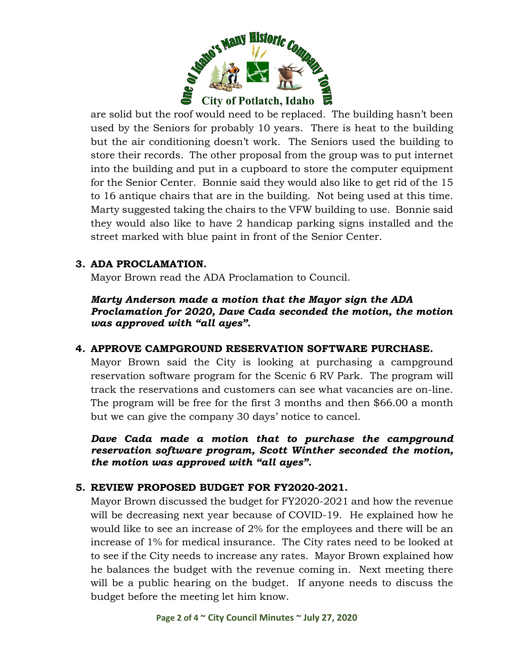

are solid but the roof would need to be replaced. The building hasn't been used by the Seniors for probably 10 years. There is heat to the building but the air conditioning doesn't work. The Seniors used the building to store their records. The other proposal from the group was to put internet into the building and put in a cupboard to store the computer equipment for the Senior Center. Bonnie said they would also like to get rid of the 15 to 16 antique chairs that are in the building. Not being used at this time. Marty suggested taking the chairs to the VFW building to use. Bonnie said they would also like to have 2 handicap parking signs installed and the street marked with blue paint in front of the Senior Center.

# **3. ADA PROCLAMATION.**

Mayor Brown read the ADA Proclamation to Council.

*Marty Anderson made a motion that the Mayor sign the ADA Proclamation for 2020, Dave Cada seconded the motion, the motion was approved with "all ayes".* 

# **4. APPROVE CAMPGROUND RESERVATION SOFTWARE PURCHASE.**

Mayor Brown said the City is looking at purchasing a campground reservation software program for the Scenic 6 RV Park. The program will track the reservations and customers can see what vacancies are on-line. The program will be free for the first 3 months and then \$66.00 a month but we can give the company 30 days' notice to cancel.

*Dave Cada made a motion that to purchase the campground reservation software program, Scott Winther seconded the motion, the motion was approved with "all ayes".* 

# **5. REVIEW PROPOSED BUDGET FOR FY2020-2021.**

Mayor Brown discussed the budget for FY2020-2021 and how the revenue will be decreasing next year because of COVID-19. He explained how he would like to see an increase of 2% for the employees and there will be an increase of 1% for medical insurance. The City rates need to be looked at to see if the City needs to increase any rates. Mayor Brown explained how he balances the budget with the revenue coming in. Next meeting there will be a public hearing on the budget. If anyone needs to discuss the budget before the meeting let him know.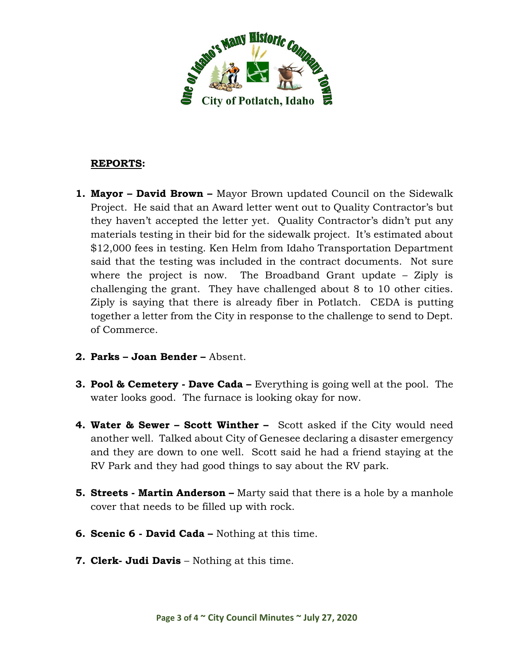

#### **REPORTS:**

- **1. Mayor – David Brown –** Mayor Brown updated Council on the Sidewalk Project. He said that an Award letter went out to Quality Contractor's but they haven't accepted the letter yet. Quality Contractor's didn't put any materials testing in their bid for the sidewalk project. It's estimated about \$12,000 fees in testing. Ken Helm from Idaho Transportation Department said that the testing was included in the contract documents. Not sure where the project is now. The Broadband Grant update – Ziply is challenging the grant. They have challenged about 8 to 10 other cities. Ziply is saying that there is already fiber in Potlatch. CEDA is putting together a letter from the City in response to the challenge to send to Dept. of Commerce.
- **2. Parks – Joan Bender –** Absent.
- **3. Pool & Cemetery - Dave Cada –** Everything is going well at the pool. The water looks good. The furnace is looking okay for now.
- **4. Water & Sewer – Scott Winther –** Scott asked if the City would need another well. Talked about City of Genesee declaring a disaster emergency and they are down to one well. Scott said he had a friend staying at the RV Park and they had good things to say about the RV park.
- **5. Streets - Martin Anderson –** Marty said that there is a hole by a manhole cover that needs to be filled up with rock.
- **6. Scenic 6 - David Cada –** Nothing at this time.
- **7. Clerk- Judi Davis** Nothing at this time.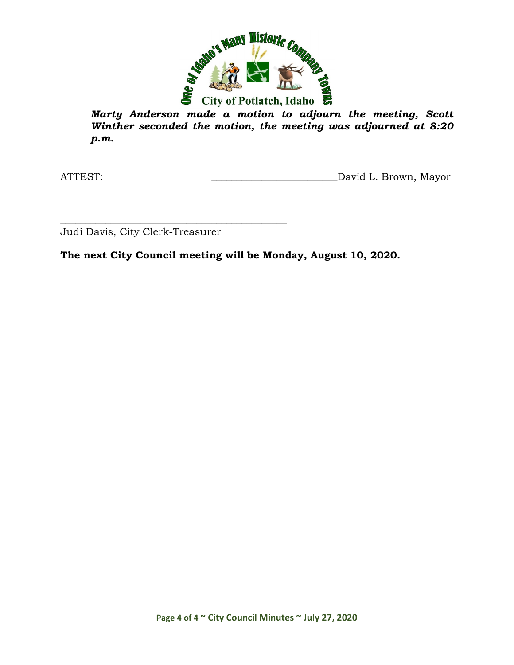

*Marty Anderson made a motion to adjourn the meeting, Scott Winther seconded the motion, the meeting was adjourned at 8:20 p.m.*

ATTEST: ATTEST: AND AND ALL BROWN, Mayor

\_\_\_\_\_\_\_\_\_\_\_\_\_\_\_\_\_\_\_\_\_\_\_\_\_\_\_\_\_\_\_\_\_\_\_\_\_\_\_\_\_\_\_\_\_ Judi Davis, City Clerk-Treasurer

**The next City Council meeting will be Monday, August 10, 2020.**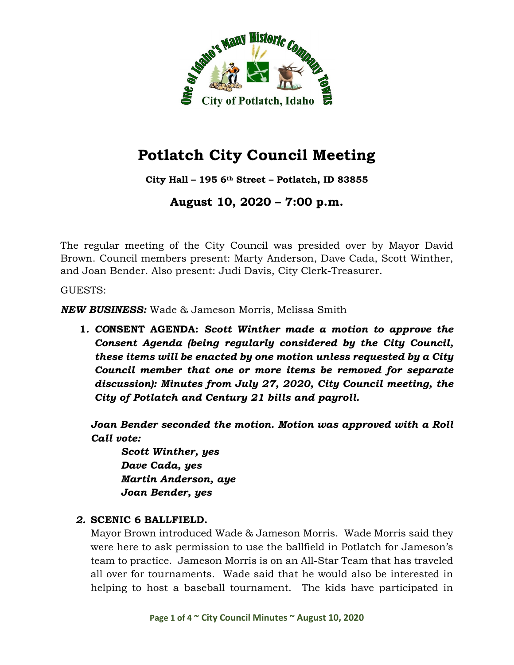

**City Hall – 195 6th Street – Potlatch, ID 83855**

**August 10, 2020 – 7:00 p.m.**

The regular meeting of the City Council was presided over by Mayor David Brown. Council members present: Marty Anderson, Dave Cada, Scott Winther, and Joan Bender. Also present: Judi Davis, City Clerk-Treasurer.

GUESTS:

*NEW BUSINESS:* Wade & Jameson Morris, Melissa Smith

**1.** *CO***NSENT AGENDA:** *Scott Winther made a motion to approve the Consent Agenda (being regularly considered by the City Council, these items will be enacted by one motion unless requested by a City Council member that one or more items be removed for separate discussion): Minutes from July 27, 2020, City Council meeting, the City of Potlatch and Century 21 bills and payroll.*

*Joan Bender seconded the motion. Motion was approved with a Roll Call vote:*

*Scott Winther, yes Dave Cada, yes Martin Anderson, aye Joan Bender, yes*

# *2.* **SCENIC 6 BALLFIELD.**

Mayor Brown introduced Wade & Jameson Morris. Wade Morris said they were here to ask permission to use the ballfield in Potlatch for Jameson's team to practice. Jameson Morris is on an All-Star Team that has traveled all over for tournaments. Wade said that he would also be interested in helping to host a baseball tournament. The kids have participated in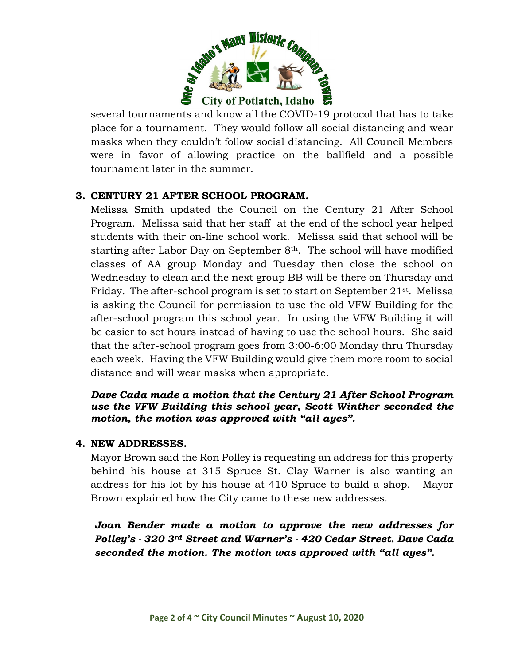

several tournaments and know all the COVID-19 protocol that has to take place for a tournament. They would follow all social distancing and wear masks when they couldn't follow social distancing. All Council Members were in favor of allowing practice on the ballfield and a possible tournament later in the summer.

# **3. CENTURY 21 AFTER SCHOOL PROGRAM.**

Melissa Smith updated the Council on the Century 21 After School Program. Melissa said that her staff at the end of the school year helped students with their on-line school work. Melissa said that school will be starting after Labor Day on September 8<sup>th</sup>. The school will have modified classes of AA group Monday and Tuesday then close the school on Wednesday to clean and the next group BB will be there on Thursday and Friday. The after-school program is set to start on September 21<sup>st</sup>. Melissa is asking the Council for permission to use the old VFW Building for the after-school program this school year. In using the VFW Building it will be easier to set hours instead of having to use the school hours. She said that the after-school program goes from 3:00-6:00 Monday thru Thursday each week. Having the VFW Building would give them more room to social distance and will wear masks when appropriate.

#### *Dave Cada made a motion that the Century 21 After School Program use the VFW Building this school year, Scott Winther seconded the motion, the motion was approved with "all ayes".*

#### **4. NEW ADDRESSES.**

Mayor Brown said the Ron Polley is requesting an address for this property behind his house at 315 Spruce St. Clay Warner is also wanting an address for his lot by his house at 410 Spruce to build a shop. Mayor Brown explained how the City came to these new addresses.

*Joan Bender made a motion to approve the new addresses for Polley's - 320 3rd Street and Warner's - 420 Cedar Street. Dave Cada seconded the motion. The motion was approved with "all ayes".*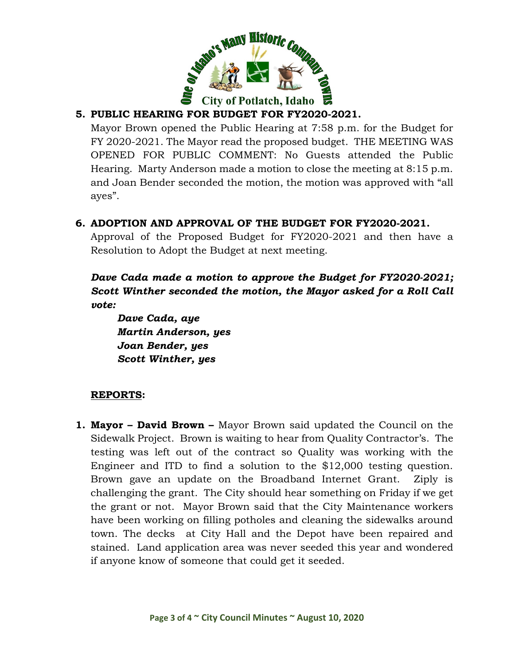

# **5. PUBLIC HEARING FOR BUDGET FOR FY2020-2021.**

Mayor Brown opened the Public Hearing at 7:58 p.m. for the Budget for FY 2020-2021. The Mayor read the proposed budget. THE MEETING WAS OPENED FOR PUBLIC COMMENT: No Guests attended the Public Hearing. Marty Anderson made a motion to close the meeting at 8:15 p.m. and Joan Bender seconded the motion, the motion was approved with "all ayes".

# **6. ADOPTION AND APPROVAL OF THE BUDGET FOR FY2020-2021.**

Approval of the Proposed Budget for FY2020-2021 and then have a Resolution to Adopt the Budget at next meeting.

*Dave Cada made a motion to approve the Budget for FY2020-2021; Scott Winther seconded the motion, the Mayor asked for a Roll Call vote:*

*Dave Cada, aye Martin Anderson, yes Joan Bender, yes Scott Winther, yes*

# **REPORTS:**

**1. Mayor – David Brown –** Mayor Brown said updated the Council on the Sidewalk Project. Brown is waiting to hear from Quality Contractor's. The testing was left out of the contract so Quality was working with the Engineer and ITD to find a solution to the \$12,000 testing question. Brown gave an update on the Broadband Internet Grant. Ziply is challenging the grant. The City should hear something on Friday if we get the grant or not. Mayor Brown said that the City Maintenance workers have been working on filling potholes and cleaning the sidewalks around town. The decks at City Hall and the Depot have been repaired and stained. Land application area was never seeded this year and wondered if anyone know of someone that could get it seeded.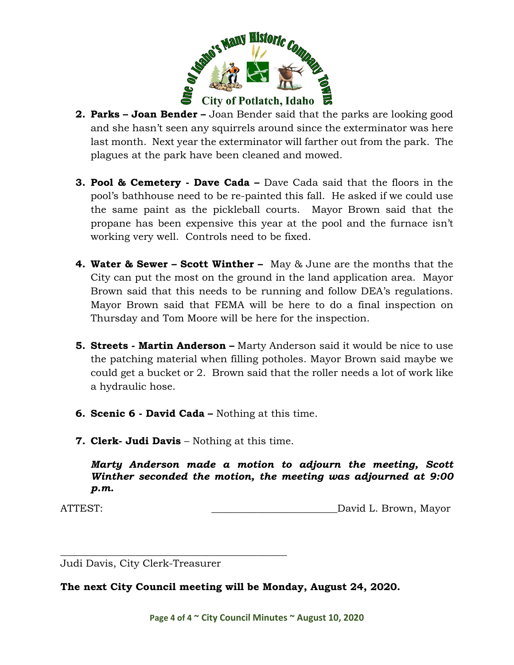

- **2. Parks – Joan Bender –** Joan Bender said that the parks are looking good and she hasn't seen any squirrels around since the exterminator was here last month. Next year the exterminator will farther out from the park. The plagues at the park have been cleaned and mowed.
- **3. Pool & Cemetery - Dave Cada –** Dave Cada said that the floors in the pool's bathhouse need to be re-painted this fall. He asked if we could use the same paint as the pickleball courts. Mayor Brown said that the propane has been expensive this year at the pool and the furnace isn't working very well. Controls need to be fixed.
- **4. Water & Sewer – Scott Winther –** May & June are the months that the City can put the most on the ground in the land application area. Mayor Brown said that this needs to be running and follow DEA's regulations. Mayor Brown said that FEMA will be here to do a final inspection on Thursday and Tom Moore will be here for the inspection.
- **5. Streets - Martin Anderson –** Marty Anderson said it would be nice to use the patching material when filling potholes. Mayor Brown said maybe we could get a bucket or 2. Brown said that the roller needs a lot of work like a hydraulic hose.
- **6. Scenic 6 - David Cada –** Nothing at this time.
- **7. Clerk- Judi Davis** Nothing at this time.

*Marty Anderson made a motion to adjourn the meeting, Scott Winther seconded the motion, the meeting was adjourned at 9:00 p.m.*

ATTEST: David L. Brown, Mayor

\_\_\_\_\_\_\_\_\_\_\_\_\_\_\_\_\_\_\_\_\_\_\_\_\_\_\_\_\_\_\_\_\_\_\_\_\_\_\_\_\_\_\_\_\_ Judi Davis, City Clerk-Treasurer

**The next City Council meeting will be Monday, August 24, 2020.**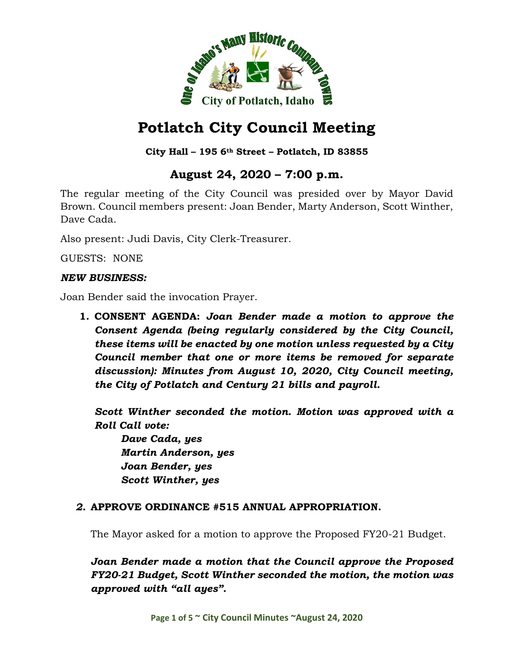

# **City Hall – 195 6th Street – Potlatch, ID 83855**

# **August 24, 2020 – 7:00 p.m.**

The regular meeting of the City Council was presided over by Mayor David Brown. Council members present: Joan Bender, Marty Anderson, Scott Winther, Dave Cada.

Also present: Judi Davis, City Clerk-Treasurer.

GUESTS: NONE

#### *NEW BUSINESS:*

Joan Bender said the invocation Prayer.

**1. CONSENT AGENDA:** *Joan Bender made a motion to approve the Consent Agenda (being regularly considered by the City Council, these items will be enacted by one motion unless requested by a City Council member that one or more items be removed for separate discussion): Minutes from August 10, 2020, City Council meeting, the City of Potlatch and Century 21 bills and payroll.*

*Scott Winther seconded the motion. Motion was approved with a Roll Call vote:*

*Dave Cada, yes Martin Anderson, yes Joan Bender, yes Scott Winther, yes*

#### *2.* **APPROVE ORDINANCE #515 ANNUAL APPROPRIATION.**

The Mayor asked for a motion to approve the Proposed FY20-21 Budget.

*Joan Bender made a motion that the Council approve the Proposed FY20-21 Budget, Scott Winther seconded the motion, the motion was approved with "all ayes".*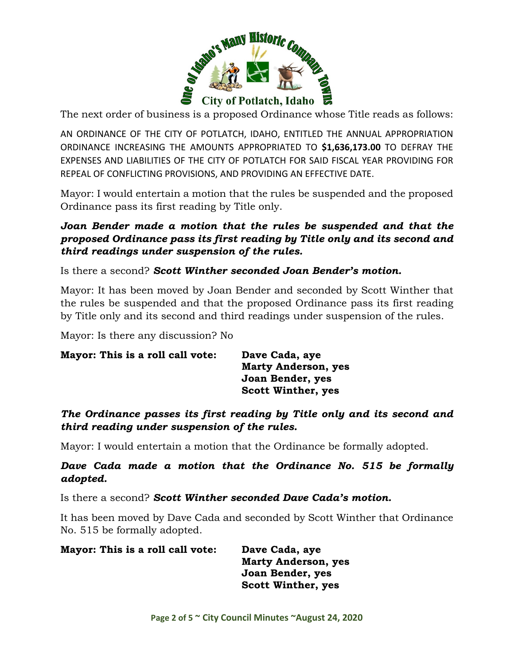

The next order of business is a proposed Ordinance whose Title reads as follows:

AN ORDINANCE OF THE CITY OF POTLATCH, IDAHO, ENTITLED THE ANNUAL APPROPRIATION ORDINANCE INCREASING THE AMOUNTS APPROPRIATED TO **\$1,636,173.00** TO DEFRAY THE EXPENSES AND LIABILITIES OF THE CITY OF POTLATCH FOR SAID FISCAL YEAR PROVIDING FOR REPEAL OF CONFLICTING PROVISIONS, AND PROVIDING AN EFFECTIVE DATE.

Mayor: I would entertain a motion that the rules be suspended and the proposed Ordinance pass its first reading by Title only.

*Joan Bender made a motion that the rules be suspended and that the proposed Ordinance pass its first reading by Title only and its second and third readings under suspension of the rules.*

Is there a second? *Scott Winther seconded Joan Bender's motion.*

Mayor: It has been moved by Joan Bender and seconded by Scott Winther that the rules be suspended and that the proposed Ordinance pass its first reading by Title only and its second and third readings under suspension of the rules.

Mayor: Is there any discussion? No

| Mayor: This is a roll call vote: | Dave Cada, aye             |
|----------------------------------|----------------------------|
|                                  | <b>Marty Anderson, yes</b> |
|                                  | Joan Bender, yes           |
|                                  | <b>Scott Winther, yes</b>  |

*The Ordinance passes its first reading by Title only and its second and third reading under suspension of the rules.*

Mayor: I would entertain a motion that the Ordinance be formally adopted.

*Dave Cada made a motion that the Ordinance No. 515 be formally adopted.*

Is there a second? *Scott Winther seconded Dave Cada's motion.*

It has been moved by Dave Cada and seconded by Scott Winther that Ordinance No. 515 be formally adopted.

**Mayor: This is a roll call vote: Dave Cada, aye Marty Anderson, yes Joan Bender, yes**

**Scott Winther, yes**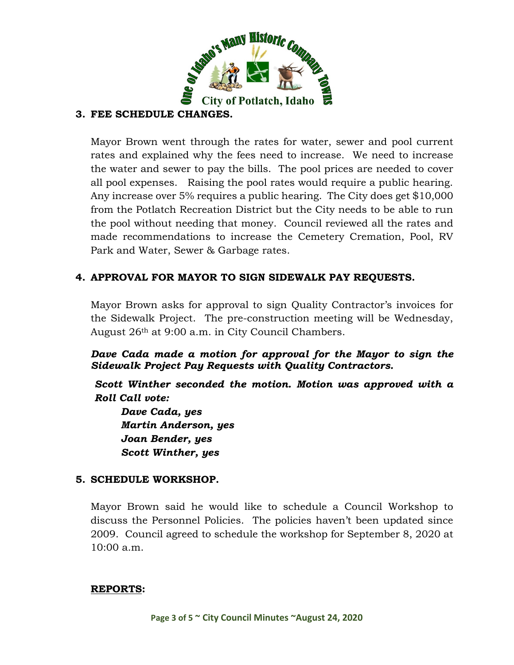

# **3. FEE SCHEDULE CHANGES.**

Mayor Brown went through the rates for water, sewer and pool current rates and explained why the fees need to increase. We need to increase the water and sewer to pay the bills. The pool prices are needed to cover all pool expenses. Raising the pool rates would require a public hearing. Any increase over 5% requires a public hearing. The City does get \$10,000 from the Potlatch Recreation District but the City needs to be able to run the pool without needing that money. Council reviewed all the rates and made recommendations to increase the Cemetery Cremation, Pool, RV Park and Water, Sewer & Garbage rates.

# **4. APPROVAL FOR MAYOR TO SIGN SIDEWALK PAY REQUESTS.**

Mayor Brown asks for approval to sign Quality Contractor's invoices for the Sidewalk Project. The pre-construction meeting will be Wednesday, August 26th at 9:00 a.m. in City Council Chambers.

*Dave Cada made a motion for approval for the Mayor to sign the Sidewalk Project Pay Requests with Quality Contractors.*

*Scott Winther seconded the motion. Motion was approved with a Roll Call vote:*

*Dave Cada, yes Martin Anderson, yes Joan Bender, yes Scott Winther, yes*

# **5. SCHEDULE WORKSHOP.**

Mayor Brown said he would like to schedule a Council Workshop to discuss the Personnel Policies. The policies haven't been updated since 2009. Council agreed to schedule the workshop for September 8, 2020 at 10:00 a.m.

#### **REPORTS:**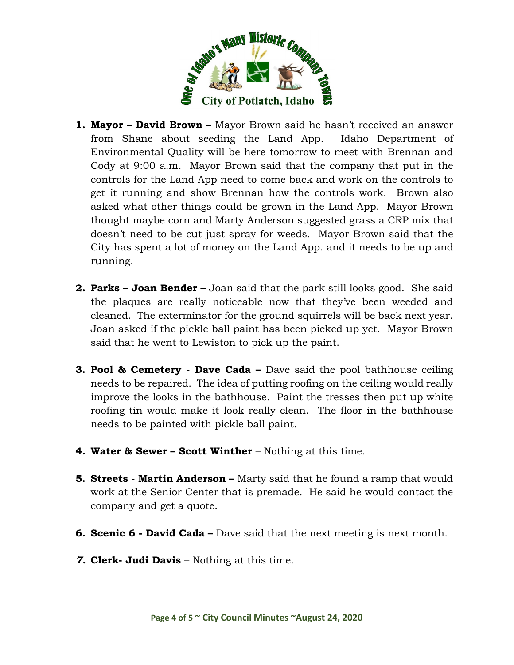

- **1. Mayor – David Brown –** Mayor Brown said he hasn't received an answer from Shane about seeding the Land App. Idaho Department of Environmental Quality will be here tomorrow to meet with Brennan and Cody at 9:00 a.m. Mayor Brown said that the company that put in the controls for the Land App need to come back and work on the controls to get it running and show Brennan how the controls work. Brown also asked what other things could be grown in the Land App. Mayor Brown thought maybe corn and Marty Anderson suggested grass a CRP mix that doesn't need to be cut just spray for weeds. Mayor Brown said that the City has spent a lot of money on the Land App. and it needs to be up and running.
- **2. Parks – Joan Bender –** Joan said that the park still looks good. She said the plaques are really noticeable now that they've been weeded and cleaned. The exterminator for the ground squirrels will be back next year. Joan asked if the pickle ball paint has been picked up yet. Mayor Brown said that he went to Lewiston to pick up the paint.
- **3. Pool & Cemetery - Dave Cada –** Dave said the pool bathhouse ceiling needs to be repaired. The idea of putting roofing on the ceiling would really improve the looks in the bathhouse. Paint the tresses then put up white roofing tin would make it look really clean. The floor in the bathhouse needs to be painted with pickle ball paint.
- **4. Water & Sewer – Scott Winther** Nothing at this time.
- **5. Streets - Martin Anderson –** Marty said that he found a ramp that would work at the Senior Center that is premade. He said he would contact the company and get a quote.
- **6. Scenic 6 - David Cada –** Dave said that the next meeting is next month.
- *7.* **Clerk- Judi Davis** Nothing at this time.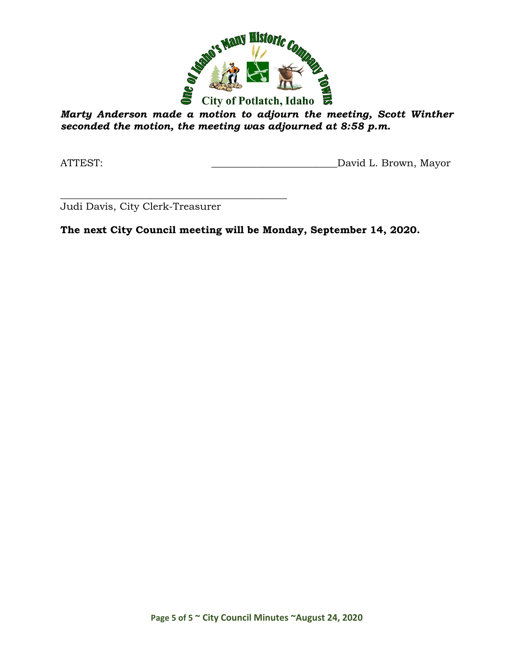

*Marty Anderson made a motion to adjourn the meeting, Scott Winther seconded the motion, the meeting was adjourned at 8:58 p.m.*

ATTEST: ATTEST: AND AND AND ANNOUNCED AT A L. Brown, Mayor

\_\_\_\_\_\_\_\_\_\_\_\_\_\_\_\_\_\_\_\_\_\_\_\_\_\_\_\_\_\_\_\_\_\_\_\_\_\_\_\_\_\_\_\_\_ Judi Davis, City Clerk-Treasurer

**The next City Council meeting will be Monday, September 14, 2020.**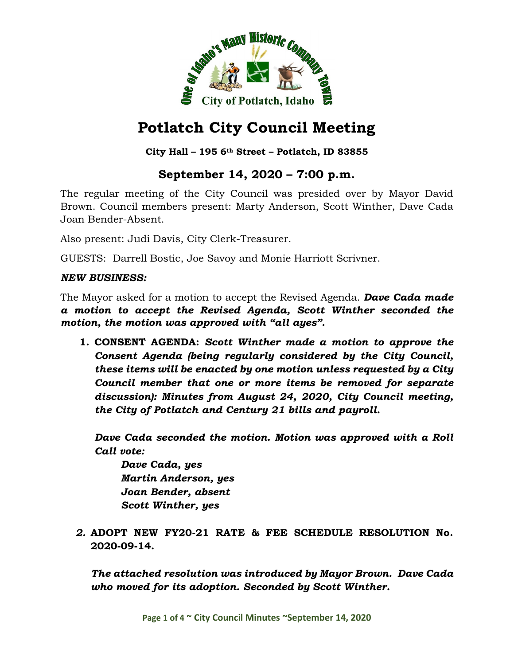

# **City Hall – 195 6th Street – Potlatch, ID 83855**

# **September 14, 2020 – 7:00 p.m.**

The regular meeting of the City Council was presided over by Mayor David Brown. Council members present: Marty Anderson, Scott Winther, Dave Cada Joan Bender-Absent.

Also present: Judi Davis, City Clerk-Treasurer.

GUESTS: Darrell Bostic, Joe Savoy and Monie Harriott Scrivner.

#### *NEW BUSINESS:*

The Mayor asked for a motion to accept the Revised Agenda. *Dave Cada made a motion to accept the Revised Agenda, Scott Winther seconded the motion, the motion was approved with "all ayes".*

**1. CONSENT AGENDA:** *Scott Winther made a motion to approve the Consent Agenda (being regularly considered by the City Council, these items will be enacted by one motion unless requested by a City Council member that one or more items be removed for separate discussion): Minutes from August 24, 2020, City Council meeting, the City of Potlatch and Century 21 bills and payroll.*

*Dave Cada seconded the motion. Motion was approved with a Roll Call vote:*

*Dave Cada, yes Martin Anderson, yes Joan Bender, absent Scott Winther, yes*

*2.* **ADOPT NEW FY20-21 RATE & FEE SCHEDULE RESOLUTION No. 2020-09-14.**

*The attached resolution was introduced by Mayor Brown. Dave Cada who moved for its adoption. Seconded by Scott Winther.*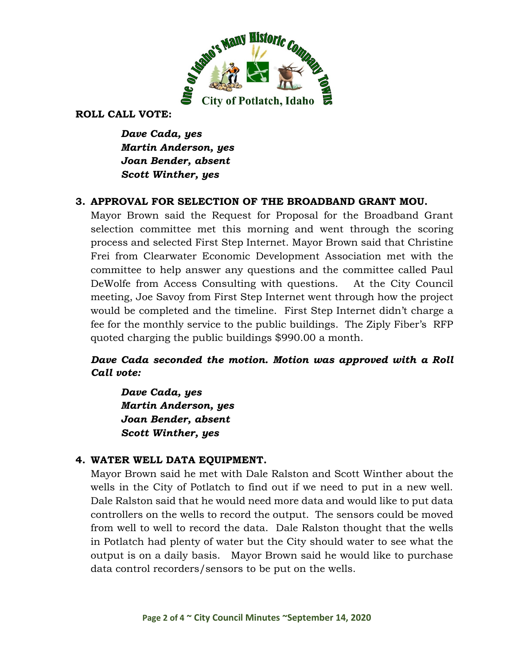

#### **ROLL CALL VOTE:**

*Dave Cada, yes Martin Anderson, yes Joan Bender, absent Scott Winther, yes*

# **3. APPROVAL FOR SELECTION OF THE BROADBAND GRANT MOU.**

Mayor Brown said the Request for Proposal for the Broadband Grant selection committee met this morning and went through the scoring process and selected First Step Internet. Mayor Brown said that Christine Frei from Clearwater Economic Development Association met with the committee to help answer any questions and the committee called Paul DeWolfe from Access Consulting with questions. At the City Council meeting, Joe Savoy from First Step Internet went through how the project would be completed and the timeline. First Step Internet didn't charge a fee for the monthly service to the public buildings. The Ziply Fiber's RFP quoted charging the public buildings \$990.00 a month.

# *Dave Cada seconded the motion. Motion was approved with a Roll Call vote:*

*Dave Cada, yes Martin Anderson, yes Joan Bender, absent Scott Winther, yes*

# **4. WATER WELL DATA EQUIPMENT.**

Mayor Brown said he met with Dale Ralston and Scott Winther about the wells in the City of Potlatch to find out if we need to put in a new well. Dale Ralston said that he would need more data and would like to put data controllers on the wells to record the output. The sensors could be moved from well to well to record the data. Dale Ralston thought that the wells in Potlatch had plenty of water but the City should water to see what the output is on a daily basis. Mayor Brown said he would like to purchase data control recorders/sensors to be put on the wells.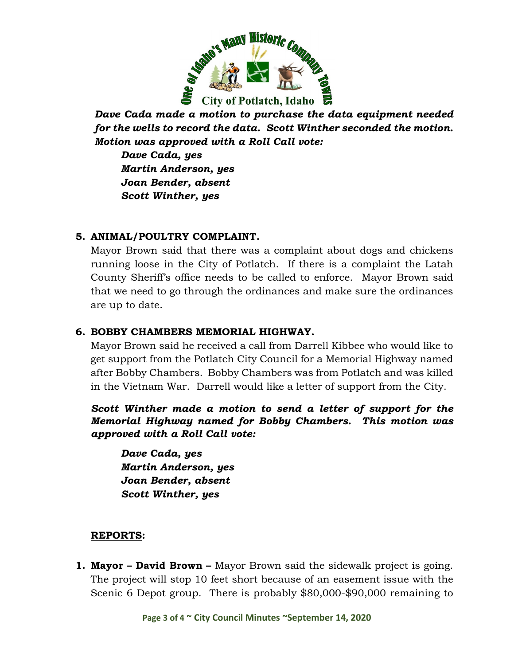

*Dave Cada made a motion to purchase the data equipment needed for the wells to record the data. Scott Winther seconded the motion. Motion was approved with a Roll Call vote:*

*Dave Cada, yes Martin Anderson, yes Joan Bender, absent Scott Winther, yes*

# **5. ANIMAL/POULTRY COMPLAINT.**

Mayor Brown said that there was a complaint about dogs and chickens running loose in the City of Potlatch. If there is a complaint the Latah County Sheriff's office needs to be called to enforce. Mayor Brown said that we need to go through the ordinances and make sure the ordinances are up to date.

# **6. BOBBY CHAMBERS MEMORIAL HIGHWAY.**

Mayor Brown said he received a call from Darrell Kibbee who would like to get support from the Potlatch City Council for a Memorial Highway named after Bobby Chambers. Bobby Chambers was from Potlatch and was killed in the Vietnam War. Darrell would like a letter of support from the City.

*Scott Winther made a motion to send a letter of support for the Memorial Highway named for Bobby Chambers. This motion was approved with a Roll Call vote:*

*Dave Cada, yes Martin Anderson, yes Joan Bender, absent Scott Winther, yes*

# **REPORTS:**

**1. Mayor – David Brown –** Mayor Brown said the sidewalk project is going. The project will stop 10 feet short because of an easement issue with the Scenic 6 Depot group. There is probably \$80,000-\$90,000 remaining to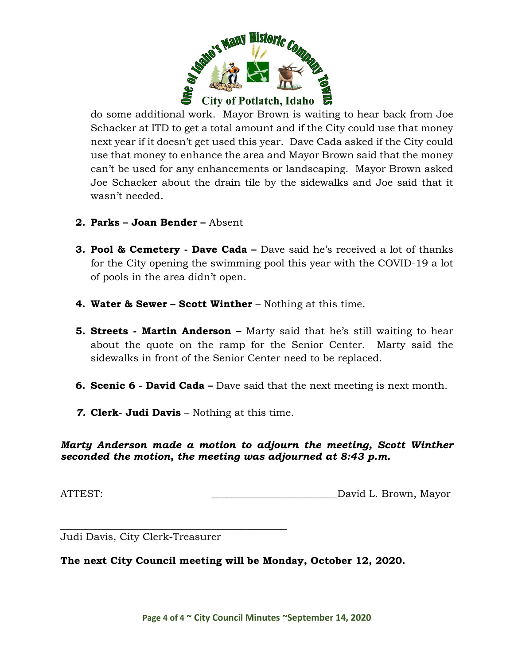

do some additional work. Mayor Brown is waiting to hear back from Joe Schacker at ITD to get a total amount and if the City could use that money next year if it doesn't get used this year. Dave Cada asked if the City could use that money to enhance the area and Mayor Brown said that the money can't be used for any enhancements or landscaping. Mayor Brown asked Joe Schacker about the drain tile by the sidewalks and Joe said that it wasn't needed.

- **2. Parks – Joan Bender –** Absent
- **3. Pool & Cemetery - Dave Cada –** Dave said he's received a lot of thanks for the City opening the swimming pool this year with the COVID-19 a lot of pools in the area didn't open.
- **4. Water & Sewer – Scott Winther** Nothing at this time.
- **5. Streets - Martin Anderson –** Marty said that he's still waiting to hear about the quote on the ramp for the Senior Center. Marty said the sidewalks in front of the Senior Center need to be replaced.
- **6. Scenic 6 - David Cada –** Dave said that the next meeting is next month.
- *7.* **Clerk- Judi Davis** Nothing at this time.

*Marty Anderson made a motion to adjourn the meeting, Scott Winther seconded the motion, the meeting was adjourned at 8:43 p.m.*

ATTEST: David L. Brown, Mayor

\_\_\_\_\_\_\_\_\_\_\_\_\_\_\_\_\_\_\_\_\_\_\_\_\_\_\_\_\_\_\_\_\_\_\_\_\_\_\_\_\_\_\_\_\_ Judi Davis, City Clerk-Treasurer

**The next City Council meeting will be Monday, October 12, 2020.**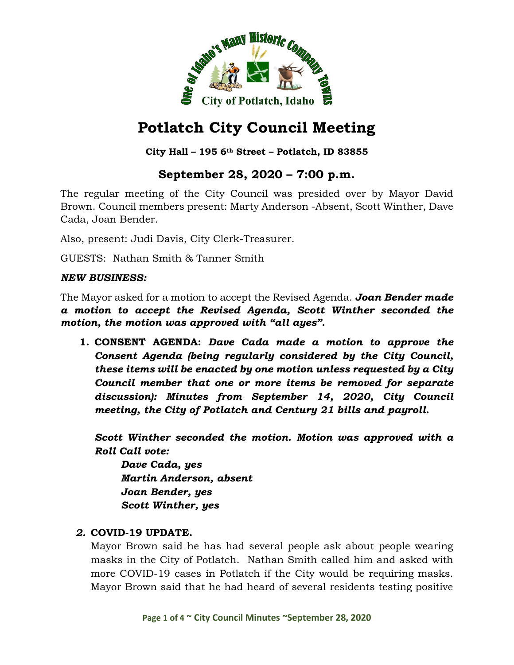

# **City Hall – 195 6th Street – Potlatch, ID 83855**

# **September 28, 2020 – 7:00 p.m.**

The regular meeting of the City Council was presided over by Mayor David Brown. Council members present: Marty Anderson -Absent, Scott Winther, Dave Cada, Joan Bender.

Also, present: Judi Davis, City Clerk-Treasurer.

GUESTS: Nathan Smith & Tanner Smith

#### *NEW BUSINESS:*

The Mayor asked for a motion to accept the Revised Agenda. *Joan Bender made a motion to accept the Revised Agenda, Scott Winther seconded the motion, the motion was approved with "all ayes".*

**1. CONSENT AGENDA:** *Dave Cada made a motion to approve the Consent Agenda (being regularly considered by the City Council, these items will be enacted by one motion unless requested by a City Council member that one or more items be removed for separate discussion): Minutes from September 14, 2020, City Council meeting, the City of Potlatch and Century 21 bills and payroll.*

*Scott Winther seconded the motion. Motion was approved with a Roll Call vote:*

*Dave Cada, yes Martin Anderson, absent Joan Bender, yes Scott Winther, yes*

# *2.* **COVID-19 UPDATE.**

Mayor Brown said he has had several people ask about people wearing masks in the City of Potlatch. Nathan Smith called him and asked with more COVID-19 cases in Potlatch if the City would be requiring masks. Mayor Brown said that he had heard of several residents testing positive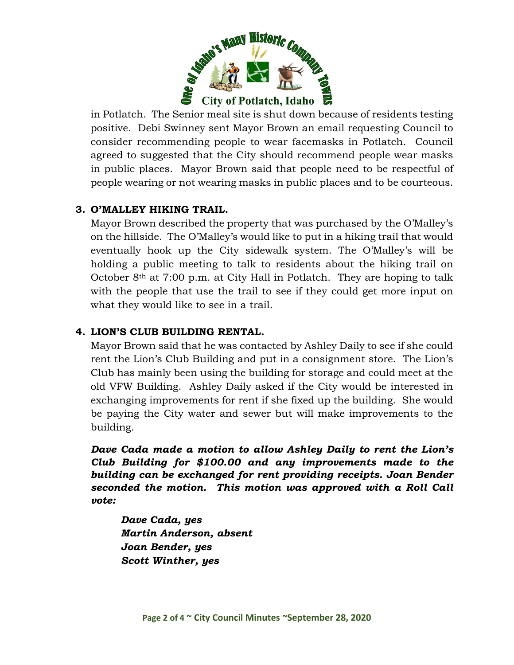

in Potlatch. The Senior meal site is shut down because of residents testing positive. Debi Swinney sent Mayor Brown an email requesting Council to consider recommending people to wear facemasks in Potlatch. Council agreed to suggested that the City should recommend people wear masks in public places. Mayor Brown said that people need to be respectful of people wearing or not wearing masks in public places and to be courteous.

# **3. O'MALLEY HIKING TRAIL.**

Mayor Brown described the property that was purchased by the O'Malley's on the hillside. The O'Malley's would like to put in a hiking trail that would eventually hook up the City sidewalk system. The O'Malley's will be holding a public meeting to talk to residents about the hiking trail on October  $8<sup>th</sup>$  at 7:00 p.m. at City Hall in Potlatch. They are hoping to talk with the people that use the trail to see if they could get more input on what they would like to see in a trail.

# **4. LION'S CLUB BUILDING RENTAL.**

Mayor Brown said that he was contacted by Ashley Daily to see if she could rent the Lion's Club Building and put in a consignment store. The Lion's Club has mainly been using the building for storage and could meet at the old VFW Building. Ashley Daily asked if the City would be interested in exchanging improvements for rent if she fixed up the building. She would be paying the City water and sewer but will make improvements to the building.

*Dave Cada made a motion to allow Ashley Daily to rent the Lion's Club Building for \$100.00 and any improvements made to the building can be exchanged for rent providing receipts. Joan Bender seconded the motion. This motion was approved with a Roll Call vote:*

*Dave Cada, yes Martin Anderson, absent Joan Bender, yes Scott Winther, yes*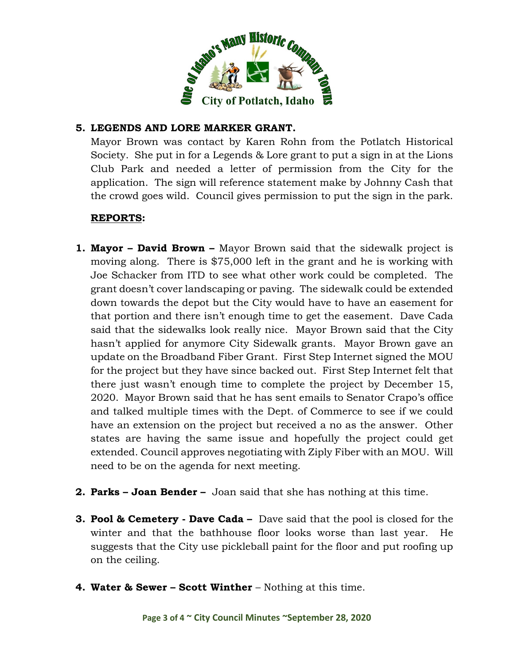

# **5. LEGENDS AND LORE MARKER GRANT.**

Mayor Brown was contact by Karen Rohn from the Potlatch Historical Society. She put in for a Legends & Lore grant to put a sign in at the Lions Club Park and needed a letter of permission from the City for the application. The sign will reference statement make by Johnny Cash that the crowd goes wild. Council gives permission to put the sign in the park.

# **REPORTS:**

- **1. Mayor – David Brown –** Mayor Brown said that the sidewalk project is moving along. There is \$75,000 left in the grant and he is working with Joe Schacker from ITD to see what other work could be completed. The grant doesn't cover landscaping or paving. The sidewalk could be extended down towards the depot but the City would have to have an easement for that portion and there isn't enough time to get the easement. Dave Cada said that the sidewalks look really nice. Mayor Brown said that the City hasn't applied for anymore City Sidewalk grants. Mayor Brown gave an update on the Broadband Fiber Grant. First Step Internet signed the MOU for the project but they have since backed out. First Step Internet felt that there just wasn't enough time to complete the project by December 15, 2020. Mayor Brown said that he has sent emails to Senator Crapo's office and talked multiple times with the Dept. of Commerce to see if we could have an extension on the project but received a no as the answer. Other states are having the same issue and hopefully the project could get extended. Council approves negotiating with Ziply Fiber with an MOU. Will need to be on the agenda for next meeting.
- **2. Parks – Joan Bender –** Joan said that she has nothing at this time.
- **3. Pool & Cemetery - Dave Cada –** Dave said that the pool is closed for the winter and that the bathhouse floor looks worse than last year. He suggests that the City use pickleball paint for the floor and put roofing up on the ceiling.
- **4. Water & Sewer – Scott Winther** Nothing at this time.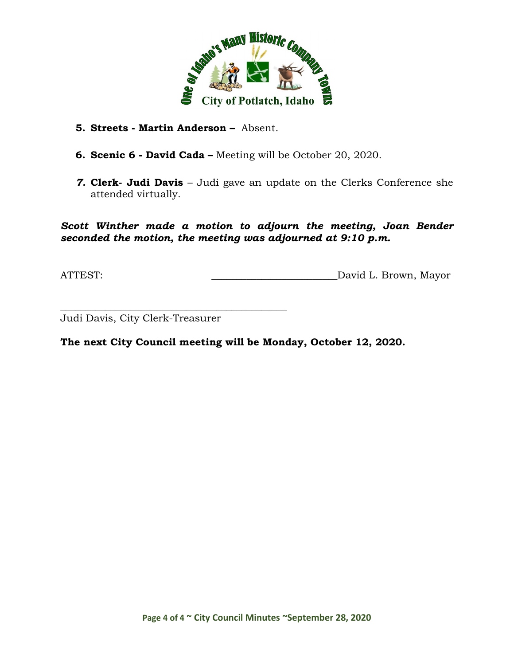

- **5. Streets - Martin Anderson –** Absent.
- **6. Scenic 6 - David Cada –** Meeting will be October 20, 2020.
- *7.* **Clerk- Judi Davis** Judi gave an update on the Clerks Conference she attended virtually.

*Scott Winther made a motion to adjourn the meeting, Joan Bender seconded the motion, the meeting was adjourned at 9:10 p.m.*

ATTEST: David L. Brown, Mayor

\_\_\_\_\_\_\_\_\_\_\_\_\_\_\_\_\_\_\_\_\_\_\_\_\_\_\_\_\_\_\_\_\_\_\_\_\_\_\_\_\_\_\_\_\_ Judi Davis, City Clerk-Treasurer

**The next City Council meeting will be Monday, October 12, 2020.**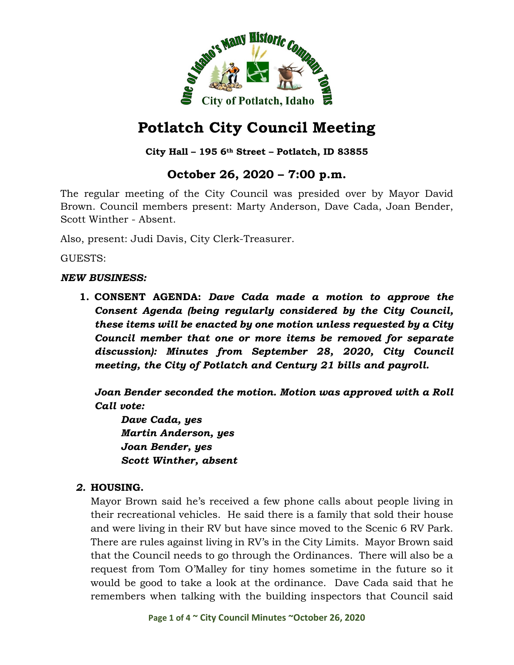

# **City Hall – 195 6th Street – Potlatch, ID 83855**

# **October 26, 2020 – 7:00 p.m.**

The regular meeting of the City Council was presided over by Mayor David Brown. Council members present: Marty Anderson, Dave Cada, Joan Bender, Scott Winther - Absent.

Also, present: Judi Davis, City Clerk-Treasurer.

GUESTS:

#### *NEW BUSINESS:*

**1. CONSENT AGENDA:** *Dave Cada made a motion to approve the Consent Agenda (being regularly considered by the City Council, these items will be enacted by one motion unless requested by a City Council member that one or more items be removed for separate discussion): Minutes from September 28, 2020, City Council meeting, the City of Potlatch and Century 21 bills and payroll.*

*Joan Bender seconded the motion. Motion was approved with a Roll Call vote:*

*Dave Cada, yes Martin Anderson, yes Joan Bender, yes Scott Winther, absent*

# *2.* **HOUSING.**

Mayor Brown said he's received a few phone calls about people living in their recreational vehicles. He said there is a family that sold their house and were living in their RV but have since moved to the Scenic 6 RV Park. There are rules against living in RV's in the City Limits. Mayor Brown said that the Council needs to go through the Ordinances. There will also be a request from Tom O'Malley for tiny homes sometime in the future so it would be good to take a look at the ordinance. Dave Cada said that he remembers when talking with the building inspectors that Council said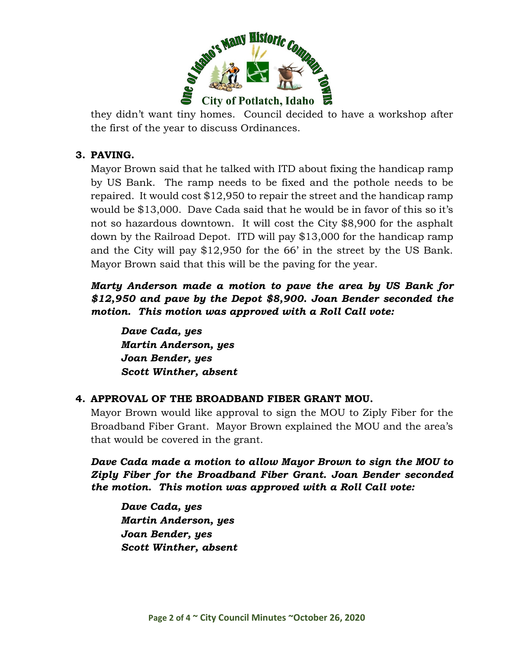

they didn't want tiny homes. Council decided to have a workshop after the first of the year to discuss Ordinances.

#### **3. PAVING.**

Mayor Brown said that he talked with ITD about fixing the handicap ramp by US Bank. The ramp needs to be fixed and the pothole needs to be repaired. It would cost \$12,950 to repair the street and the handicap ramp would be \$13,000. Dave Cada said that he would be in favor of this so it's not so hazardous downtown. It will cost the City \$8,900 for the asphalt down by the Railroad Depot. ITD will pay \$13,000 for the handicap ramp and the City will pay \$12,950 for the 66' in the street by the US Bank. Mayor Brown said that this will be the paving for the year.

*Marty Anderson made a motion to pave the area by US Bank for \$12,950 and pave by the Depot \$8,900. Joan Bender seconded the motion. This motion was approved with a Roll Call vote:*

*Dave Cada, yes Martin Anderson, yes Joan Bender, yes Scott Winther, absent*

#### **4. APPROVAL OF THE BROADBAND FIBER GRANT MOU.**

Mayor Brown would like approval to sign the MOU to Ziply Fiber for the Broadband Fiber Grant. Mayor Brown explained the MOU and the area's that would be covered in the grant.

*Dave Cada made a motion to allow Mayor Brown to sign the MOU to Ziply Fiber for the Broadband Fiber Grant. Joan Bender seconded the motion. This motion was approved with a Roll Call vote:*

*Dave Cada, yes Martin Anderson, yes Joan Bender, yes Scott Winther, absent*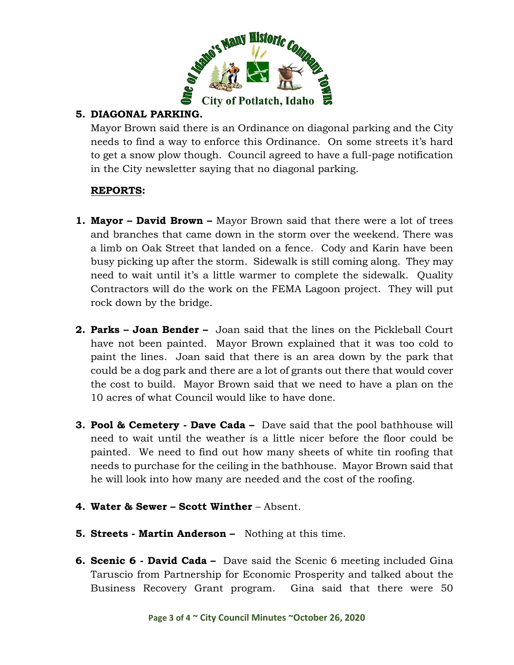

# **5. DIAGONAL PARKING.**

Mayor Brown said there is an Ordinance on diagonal parking and the City needs to find a way to enforce this Ordinance. On some streets it's hard to get a snow plow though. Council agreed to have a full-page notification in the City newsletter saying that no diagonal parking.

# **REPORTS:**

- **1. Mayor – David Brown –** Mayor Brown said that there were a lot of trees and branches that came down in the storm over the weekend. There was a limb on Oak Street that landed on a fence. Cody and Karin have been busy picking up after the storm. Sidewalk is still coming along. They may need to wait until it's a little warmer to complete the sidewalk. Quality Contractors will do the work on the FEMA Lagoon project. They will put rock down by the bridge.
- **2. Parks – Joan Bender –** Joan said that the lines on the Pickleball Court have not been painted. Mayor Brown explained that it was too cold to paint the lines. Joan said that there is an area down by the park that could be a dog park and there are a lot of grants out there that would cover the cost to build. Mayor Brown said that we need to have a plan on the 10 acres of what Council would like to have done.
- **3. Pool & Cemetery - Dave Cada –** Dave said that the pool bathhouse will need to wait until the weather is a little nicer before the floor could be painted. We need to find out how many sheets of white tin roofing that needs to purchase for the ceiling in the bathhouse. Mayor Brown said that he will look into how many are needed and the cost of the roofing.
- **4. Water & Sewer – Scott Winther** Absent.
- **5. Streets - Martin Anderson –** Nothing at this time.
- **6. Scenic 6 - David Cada –** Dave said the Scenic 6 meeting included Gina Taruscio from Partnership for Economic Prosperity and talked about the Business Recovery Grant program. Gina said that there were 50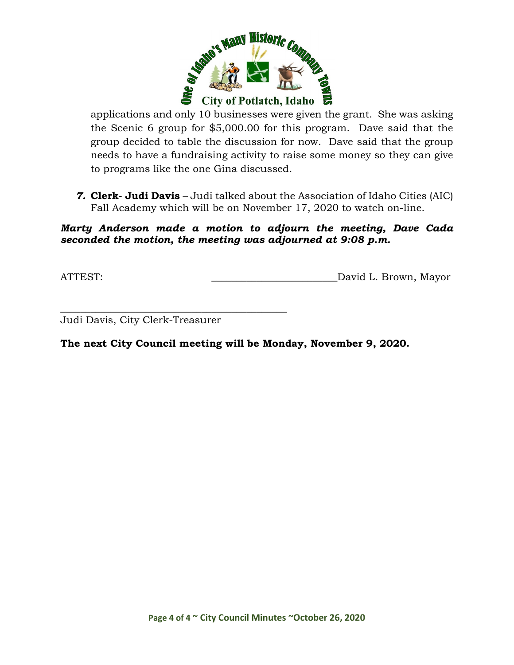

applications and only 10 businesses were given the grant. She was asking the Scenic 6 group for \$5,000.00 for this program. Dave said that the group decided to table the discussion for now. Dave said that the group needs to have a fundraising activity to raise some money so they can give to programs like the one Gina discussed.

*7.* **Clerk- Judi Davis** – Judi talked about the Association of Idaho Cities (AIC) Fall Academy which will be on November 17, 2020 to watch on-line.

#### *Marty Anderson made a motion to adjourn the meeting, Dave Cada seconded the motion, the meeting was adjourned at 9:08 p.m.*

ATTEST: David L. Brown, Mayor

\_\_\_\_\_\_\_\_\_\_\_\_\_\_\_\_\_\_\_\_\_\_\_\_\_\_\_\_\_\_\_\_\_\_\_\_\_\_\_\_\_\_\_\_\_ Judi Davis, City Clerk-Treasurer

**The next City Council meeting will be Monday, November 9, 2020.**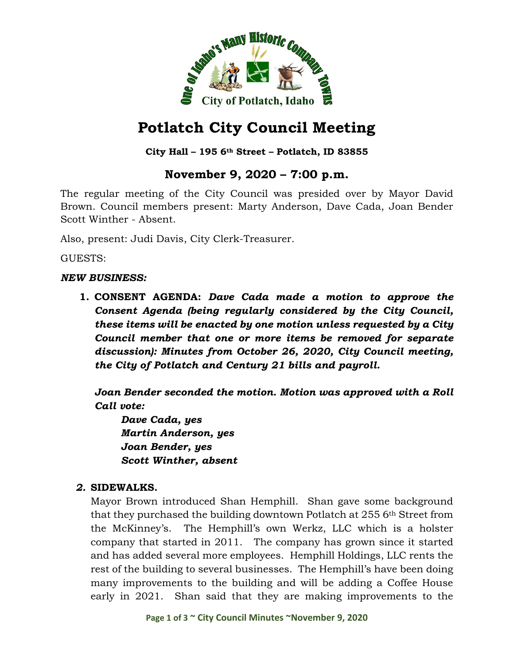

# **City Hall – 195 6th Street – Potlatch, ID 83855**

# **November 9, 2020 – 7:00 p.m.**

The regular meeting of the City Council was presided over by Mayor David Brown. Council members present: Marty Anderson, Dave Cada, Joan Bender Scott Winther - Absent.

Also, present: Judi Davis, City Clerk-Treasurer.

GUESTS:

#### *NEW BUSINESS:*

**1. CONSENT AGENDA:** *Dave Cada made a motion to approve the Consent Agenda (being regularly considered by the City Council, these items will be enacted by one motion unless requested by a City Council member that one or more items be removed for separate discussion): Minutes from October 26, 2020, City Council meeting, the City of Potlatch and Century 21 bills and payroll.*

*Joan Bender seconded the motion. Motion was approved with a Roll Call vote:*

*Dave Cada, yes Martin Anderson, yes Joan Bender, yes Scott Winther, absent*

# *2.* **SIDEWALKS.**

Mayor Brown introduced Shan Hemphill. Shan gave some background that they purchased the building downtown Potlatch at 255 6th Street from the McKinney's. The Hemphill's own Werkz, LLC which is a holster company that started in 2011. The company has grown since it started and has added several more employees. Hemphill Holdings, LLC rents the rest of the building to several businesses. The Hemphill's have been doing many improvements to the building and will be adding a Coffee House early in 2021. Shan said that they are making improvements to the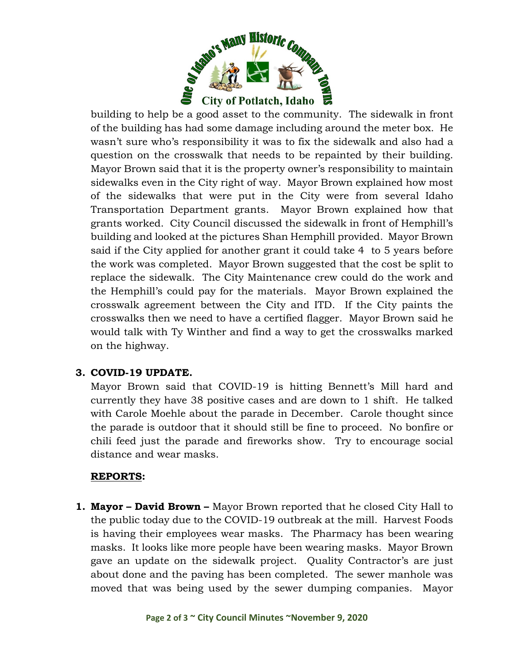

building to help be a good asset to the community. The sidewalk in front of the building has had some damage including around the meter box. He wasn't sure who's responsibility it was to fix the sidewalk and also had a question on the crosswalk that needs to be repainted by their building. Mayor Brown said that it is the property owner's responsibility to maintain sidewalks even in the City right of way. Mayor Brown explained how most of the sidewalks that were put in the City were from several Idaho Transportation Department grants. Mayor Brown explained how that grants worked. City Council discussed the sidewalk in front of Hemphill's building and looked at the pictures Shan Hemphill provided. Mayor Brown said if the City applied for another grant it could take 4 to 5 years before the work was completed. Mayor Brown suggested that the cost be split to replace the sidewalk. The City Maintenance crew could do the work and the Hemphill's could pay for the materials. Mayor Brown explained the crosswalk agreement between the City and ITD. If the City paints the crosswalks then we need to have a certified flagger. Mayor Brown said he would talk with Ty Winther and find a way to get the crosswalks marked on the highway.

# **3. COVID-19 UPDATE.**

Mayor Brown said that COVID-19 is hitting Bennett's Mill hard and currently they have 38 positive cases and are down to 1 shift. He talked with Carole Moehle about the parade in December. Carole thought since the parade is outdoor that it should still be fine to proceed. No bonfire or chili feed just the parade and fireworks show. Try to encourage social distance and wear masks.

# **REPORTS:**

**1. Mayor – David Brown –** Mayor Brown reported that he closed City Hall to the public today due to the COVID-19 outbreak at the mill. Harvest Foods is having their employees wear masks. The Pharmacy has been wearing masks. It looks like more people have been wearing masks. Mayor Brown gave an update on the sidewalk project. Quality Contractor's are just about done and the paving has been completed. The sewer manhole was moved that was being used by the sewer dumping companies. Mayor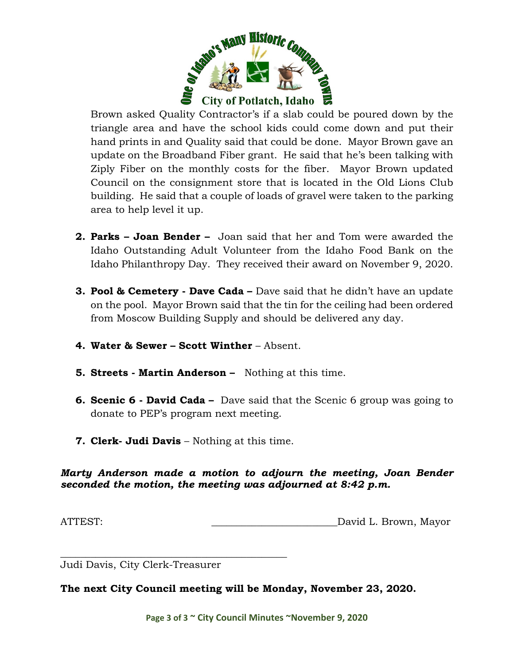

Brown asked Quality Contractor's if a slab could be poured down by the triangle area and have the school kids could come down and put their hand prints in and Quality said that could be done. Mayor Brown gave an update on the Broadband Fiber grant. He said that he's been talking with Ziply Fiber on the monthly costs for the fiber. Mayor Brown updated Council on the consignment store that is located in the Old Lions Club building. He said that a couple of loads of gravel were taken to the parking area to help level it up.

- **2. Parks – Joan Bender –** Joan said that her and Tom were awarded the Idaho Outstanding Adult Volunteer from the Idaho Food Bank on the Idaho Philanthropy Day. They received their award on November 9, 2020.
- **3. Pool & Cemetery - Dave Cada –** Dave said that he didn't have an update on the pool. Mayor Brown said that the tin for the ceiling had been ordered from Moscow Building Supply and should be delivered any day.
- **4. Water & Sewer – Scott Winther** Absent.
- **5. Streets - Martin Anderson –** Nothing at this time.
- **6. Scenic 6 - David Cada –** Dave said that the Scenic 6 group was going to donate to PEP's program next meeting.
- **7. Clerk- Judi Davis** Nothing at this time.

*Marty Anderson made a motion to adjourn the meeting, Joan Bender seconded the motion, the meeting was adjourned at 8:42 p.m.*

ATTEST: ATTEST: AND AND ALL DAVID L. Brown, Mayor

\_\_\_\_\_\_\_\_\_\_\_\_\_\_\_\_\_\_\_\_\_\_\_\_\_\_\_\_\_\_\_\_\_\_\_\_\_\_\_\_\_\_\_\_\_ Judi Davis, City Clerk-Treasurer

**The next City Council meeting will be Monday, November 23, 2020.**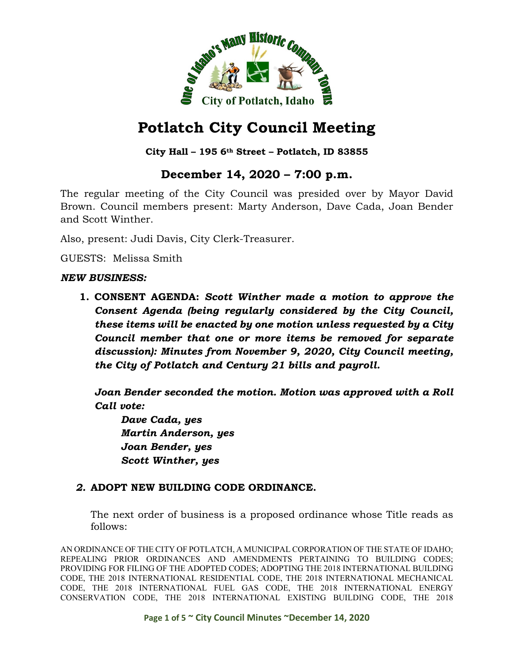

# **Potlatch City Council Meeting**

### **City Hall – 195 6th Street – Potlatch, ID 83855**

# **December 14, 2020 – 7:00 p.m.**

The regular meeting of the City Council was presided over by Mayor David Brown. Council members present: Marty Anderson, Dave Cada, Joan Bender and Scott Winther.

Also, present: Judi Davis, City Clerk-Treasurer.

GUESTS: Melissa Smith

#### *NEW BUSINESS:*

**1. CONSENT AGENDA:** *Scott Winther made a motion to approve the Consent Agenda (being regularly considered by the City Council, these items will be enacted by one motion unless requested by a City Council member that one or more items be removed for separate discussion): Minutes from November 9, 2020, City Council meeting, the City of Potlatch and Century 21 bills and payroll.*

*Joan Bender seconded the motion. Motion was approved with a Roll Call vote:*

*Dave Cada, yes Martin Anderson, yes Joan Bender, yes Scott Winther, yes*

#### *2.* **ADOPT NEW BUILDING CODE ORDINANCE.**

The next order of business is a proposed ordinance whose Title reads as follows:

AN ORDINANCE OF THE CITY OF POTLATCH, A MUNICIPAL CORPORATION OF THE STATE OF IDAHO; REPEALING PRIOR ORDINANCES AND AMENDMENTS PERTAINING TO BUILDING CODES; PROVIDING FOR FILING OF THE ADOPTED CODES; ADOPTING THE 2018 INTERNATIONAL BUILDING CODE, THE 2018 INTERNATIONAL RESIDENTIAL CODE, THE 2018 INTERNATIONAL MECHANICAL CODE, THE 2018 INTERNATIONAL FUEL GAS CODE, THE 2018 INTERNATIONAL ENERGY CONSERVATION CODE, THE 2018 INTERNATIONAL EXISTING BUILDING CODE, THE 2018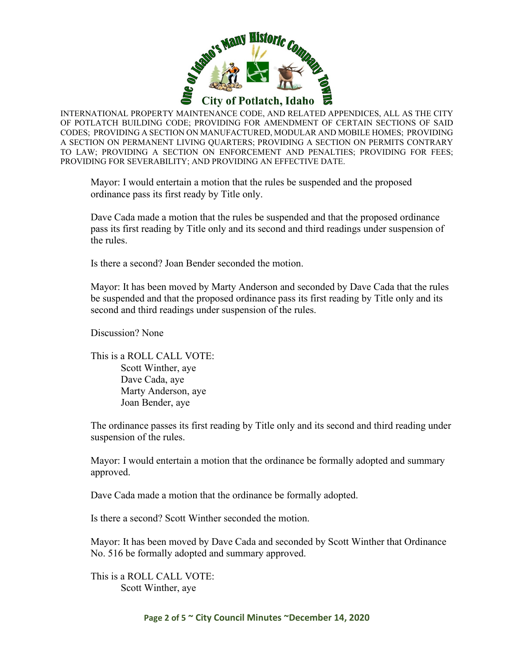

INTERNATIONAL PROPERTY MAINTENANCE CODE, AND RELATED APPENDICES, ALL AS THE CITY OF POTLATCH BUILDING CODE; PROVIDING FOR AMENDMENT OF CERTAIN SECTIONS OF SAID CODES; PROVIDING A SECTION ON MANUFACTURED, MODULAR AND MOBILE HOMES; PROVIDING A SECTION ON PERMANENT LIVING QUARTERS; PROVIDING A SECTION ON PERMITS CONTRARY TO LAW; PROVIDING A SECTION ON ENFORCEMENT AND PENALTIES; PROVIDING FOR FEES; PROVIDING FOR SEVERABILITY; AND PROVIDING AN EFFECTIVE DATE.

Mayor: I would entertain a motion that the rules be suspended and the proposed ordinance pass its first ready by Title only.

Dave Cada made a motion that the rules be suspended and that the proposed ordinance pass its first reading by Title only and its second and third readings under suspension of the rules.

Is there a second? Joan Bender seconded the motion.

Mayor: It has been moved by Marty Anderson and seconded by Dave Cada that the rules be suspended and that the proposed ordinance pass its first reading by Title only and its second and third readings under suspension of the rules.

Discussion? None

This is a ROLL CALL VOTE: Scott Winther, aye Dave Cada, aye Marty Anderson, aye Joan Bender, aye

The ordinance passes its first reading by Title only and its second and third reading under suspension of the rules.

Mayor: I would entertain a motion that the ordinance be formally adopted and summary approved.

Dave Cada made a motion that the ordinance be formally adopted.

Is there a second? Scott Winther seconded the motion.

Mayor: It has been moved by Dave Cada and seconded by Scott Winther that Ordinance No. 516 be formally adopted and summary approved.

This is a ROLL CALL VOTE: Scott Winther, aye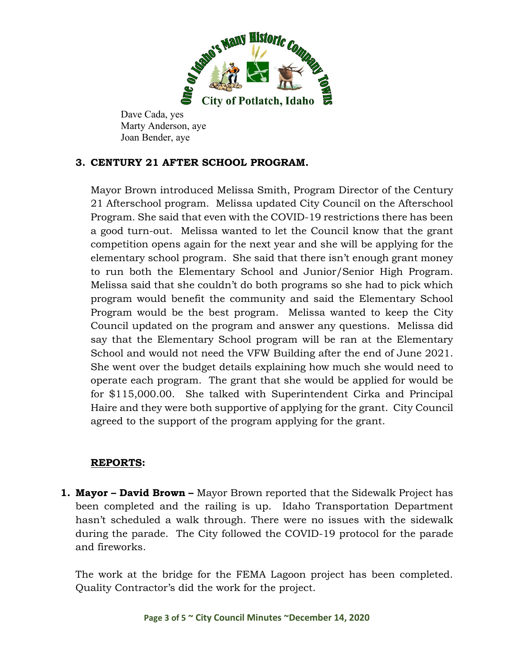

Dave Cada, yes Marty Anderson, aye Joan Bender, aye

## **3. CENTURY 21 AFTER SCHOOL PROGRAM.**

Mayor Brown introduced Melissa Smith, Program Director of the Century 21 Afterschool program. Melissa updated City Council on the Afterschool Program. She said that even with the COVID-19 restrictions there has been a good turn-out. Melissa wanted to let the Council know that the grant competition opens again for the next year and she will be applying for the elementary school program. She said that there isn't enough grant money to run both the Elementary School and Junior/Senior High Program. Melissa said that she couldn't do both programs so she had to pick which program would benefit the community and said the Elementary School Program would be the best program. Melissa wanted to keep the City Council updated on the program and answer any questions. Melissa did say that the Elementary School program will be ran at the Elementary School and would not need the VFW Building after the end of June 2021. She went over the budget details explaining how much she would need to operate each program. The grant that she would be applied for would be for \$115,000.00. She talked with Superintendent Cirka and Principal Haire and they were both supportive of applying for the grant. City Council agreed to the support of the program applying for the grant.

### **REPORTS:**

**1. Mayor – David Brown –** Mayor Brown reported that the Sidewalk Project has been completed and the railing is up. Idaho Transportation Department hasn't scheduled a walk through. There were no issues with the sidewalk during the parade. The City followed the COVID-19 protocol for the parade and fireworks.

The work at the bridge for the FEMA Lagoon project has been completed. Quality Contractor's did the work for the project.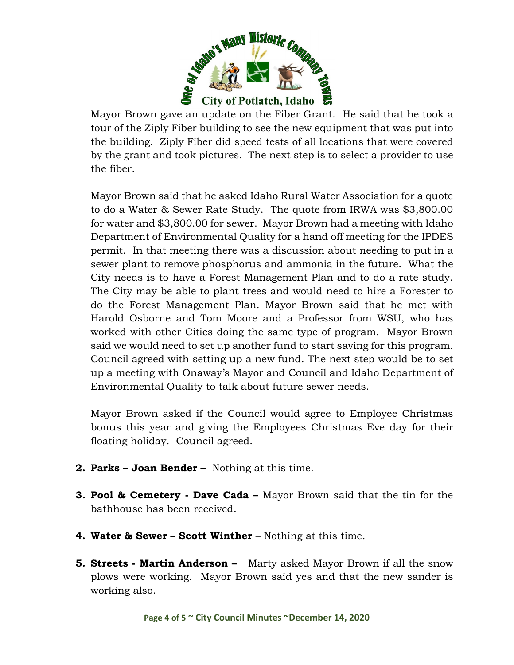

Mayor Brown gave an update on the Fiber Grant. He said that he took a tour of the Ziply Fiber building to see the new equipment that was put into the building. Ziply Fiber did speed tests of all locations that were covered by the grant and took pictures. The next step is to select a provider to use the fiber.

Mayor Brown said that he asked Idaho Rural Water Association for a quote to do a Water & Sewer Rate Study. The quote from IRWA was \$3,800.00 for water and \$3,800.00 for sewer. Mayor Brown had a meeting with Idaho Department of Environmental Quality for a hand off meeting for the IPDES permit. In that meeting there was a discussion about needing to put in a sewer plant to remove phosphorus and ammonia in the future. What the City needs is to have a Forest Management Plan and to do a rate study. The City may be able to plant trees and would need to hire a Forester to do the Forest Management Plan. Mayor Brown said that he met with Harold Osborne and Tom Moore and a Professor from WSU, who has worked with other Cities doing the same type of program. Mayor Brown said we would need to set up another fund to start saving for this program. Council agreed with setting up a new fund. The next step would be to set up a meeting with Onaway's Mayor and Council and Idaho Department of Environmental Quality to talk about future sewer needs.

Mayor Brown asked if the Council would agree to Employee Christmas bonus this year and giving the Employees Christmas Eve day for their floating holiday. Council agreed.

- **2. Parks – Joan Bender –** Nothing at this time.
- **3. Pool & Cemetery - Dave Cada –** Mayor Brown said that the tin for the bathhouse has been received.
- **4. Water & Sewer – Scott Winther** Nothing at this time.
- **5. Streets - Martin Anderson –** Marty asked Mayor Brown if all the snow plows were working. Mayor Brown said yes and that the new sander is working also.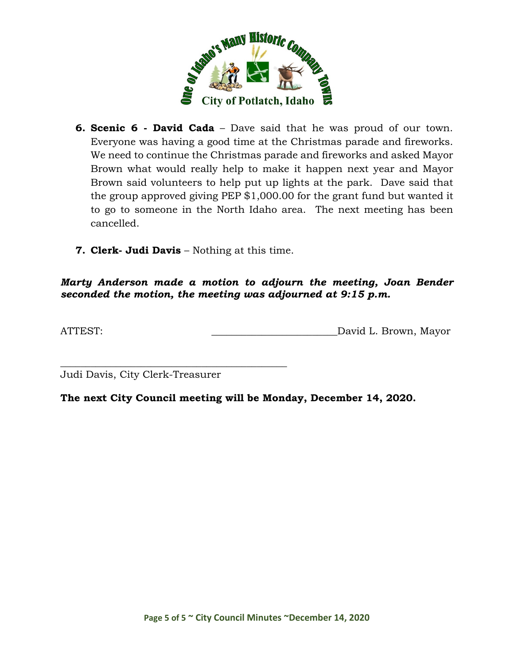

- **6. Scenic 6 - David Cada** Dave said that he was proud of our town. Everyone was having a good time at the Christmas parade and fireworks. We need to continue the Christmas parade and fireworks and asked Mayor Brown what would really help to make it happen next year and Mayor Brown said volunteers to help put up lights at the park. Dave said that the group approved giving PEP \$1,000.00 for the grant fund but wanted it to go to someone in the North Idaho area. The next meeting has been cancelled.
- **7. Clerk- Judi Davis** Nothing at this time.

*Marty Anderson made a motion to adjourn the meeting, Joan Bender seconded the motion, the meeting was adjourned at 9:15 p.m.*

ATTEST: \_\_\_\_\_\_\_\_\_\_\_\_\_\_\_\_\_\_\_\_\_\_\_\_\_David L. Brown, Mayor

\_\_\_\_\_\_\_\_\_\_\_\_\_\_\_\_\_\_\_\_\_\_\_\_\_\_\_\_\_\_\_\_\_\_\_\_\_\_\_\_\_\_\_\_\_ Judi Davis, City Clerk-Treasurer

**The next City Council meeting will be Monday, December 14, 2020.**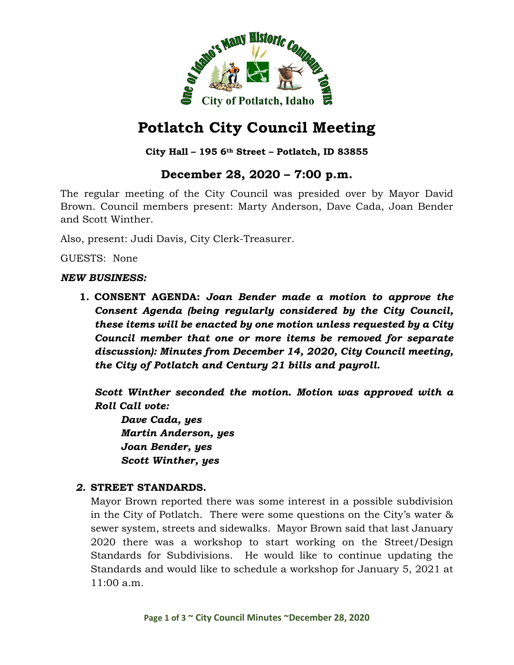

# **Potlatch City Council Meeting**

### **City Hall – 195 6th Street – Potlatch, ID 83855**

# **December 28, 2020 – 7:00 p.m.**

The regular meeting of the City Council was presided over by Mayor David Brown. Council members present: Marty Anderson, Dave Cada, Joan Bender and Scott Winther.

Also, present: Judi Davis, City Clerk-Treasurer.

GUESTS: None

#### *NEW BUSINESS:*

**1. CONSENT AGENDA:** *Joan Bender made a motion to approve the Consent Agenda (being regularly considered by the City Council, these items will be enacted by one motion unless requested by a City Council member that one or more items be removed for separate discussion): Minutes from December 14, 2020, City Council meeting, the City of Potlatch and Century 21 bills and payroll.*

*Scott Winther seconded the motion. Motion was approved with a Roll Call vote:*

*Dave Cada, yes Martin Anderson, yes Joan Bender, yes Scott Winther, yes*

#### *2.* **STREET STANDARDS.**

Mayor Brown reported there was some interest in a possible subdivision in the City of Potlatch. There were some questions on the City's water & sewer system, streets and sidewalks. Mayor Brown said that last January 2020 there was a workshop to start working on the Street/Design Standards for Subdivisions. He would like to continue updating the Standards and would like to schedule a workshop for January 5, 2021 at 11:00 a.m.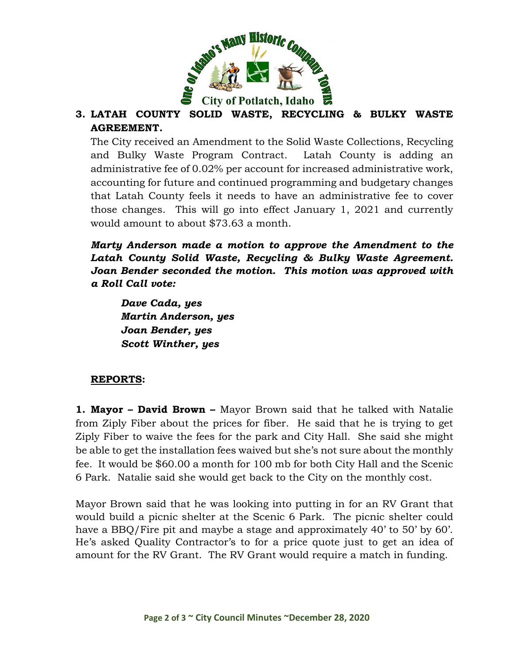

# **3. LATAH COUNTY SOLID WASTE, RECYCLING & BULKY WASTE AGREEMENT.**

The City received an Amendment to the Solid Waste Collections, Recycling and Bulky Waste Program Contract. Latah County is adding an administrative fee of 0.02% per account for increased administrative work, accounting for future and continued programming and budgetary changes that Latah County feels it needs to have an administrative fee to cover those changes. This will go into effect January 1, 2021 and currently would amount to about \$73.63 a month.

## *Marty Anderson made a motion to approve the Amendment to the Latah County Solid Waste, Recycling & Bulky Waste Agreement. Joan Bender seconded the motion. This motion was approved with a Roll Call vote:*

*Dave Cada, yes Martin Anderson, yes Joan Bender, yes Scott Winther, yes*

### **REPORTS:**

**1. Mayor – David Brown –** Mayor Brown said that he talked with Natalie from Ziply Fiber about the prices for fiber. He said that he is trying to get Ziply Fiber to waive the fees for the park and City Hall. She said she might be able to get the installation fees waived but she's not sure about the monthly fee. It would be \$60.00 a month for 100 mb for both City Hall and the Scenic 6 Park. Natalie said she would get back to the City on the monthly cost.

Mayor Brown said that he was looking into putting in for an RV Grant that would build a picnic shelter at the Scenic 6 Park. The picnic shelter could have a BBQ/Fire pit and maybe a stage and approximately 40' to 50' by 60'. He's asked Quality Contractor's to for a price quote just to get an idea of amount for the RV Grant. The RV Grant would require a match in funding.